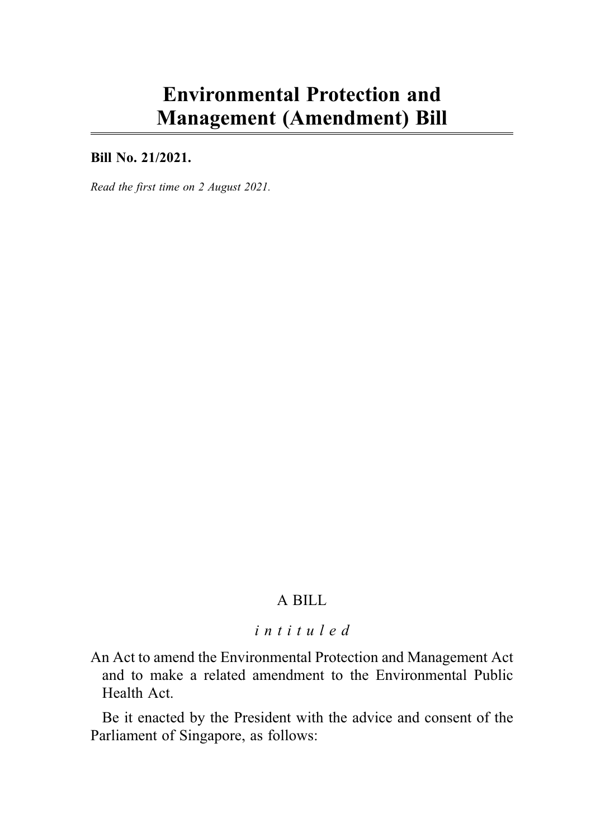# Environmental Protection and Management (Amendment) Bill

# Bill No. 21/2021.

Read the first time on 2 August 2021.

# A BILL

### intituled

An Act to amend the Environmental Protection and Management Act and to make a related amendment to the Environmental Public Health Act.

Be it enacted by the President with the advice and consent of the Parliament of Singapore, as follows: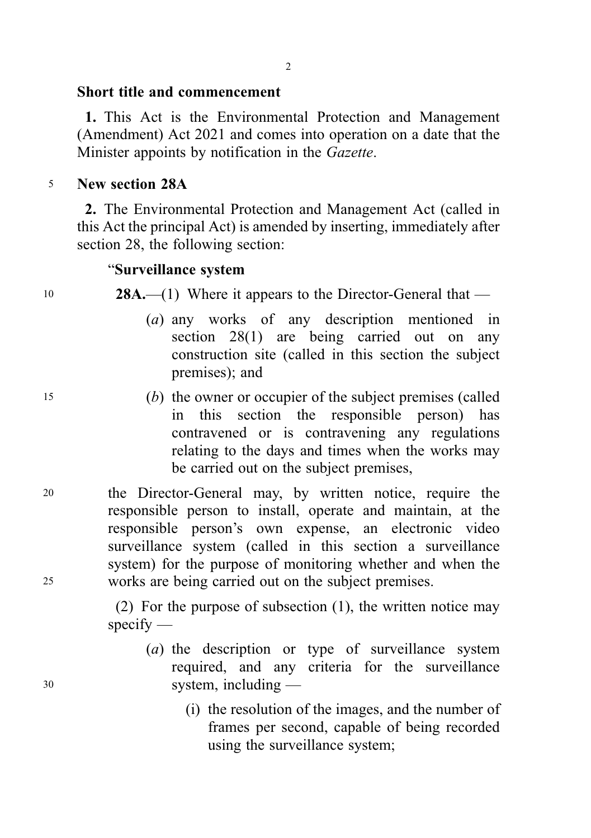# Short title and commencement

1. This Act is the Environmental Protection and Management (Amendment) Act 2021 and comes into operation on a date that the Minister appoints by notification in the Gazette.

# <sup>5</sup> New section 28A

2. The Environmental Protection and Management Act (called in this Act the principal Act) is amended by inserting, immediately after section 28, the following section:

# "Surveillance system

10 **28A.**—(1) Where it appears to the Director-General that —

- (a) any works of any description mentioned in section 28(1) are being carried out on any construction site (called in this section the subject premises); and
- <sup>15</sup> (b) the owner or occupier of the subject premises (called in this section the responsible person) has contravened or is contravening any regulations relating to the days and times when the works may be carried out on the subject premises,
- <sup>20</sup> the Director-General may, by written notice, require the responsible person to install, operate and maintain, at the responsible person's own expense, an electronic video surveillance system (called in this section a surveillance system) for the purpose of monitoring whether and when the <sup>25</sup> works are being carried out on the subject premises.

(2) For the purpose of subsection (1), the written notice may specify —

- (a) the description or type of surveillance system required, and any criteria for the surveillance <sup>30</sup> system, including —
	- (i) the resolution of the images, and the number of frames per second, capable of being recorded using the surveillance system;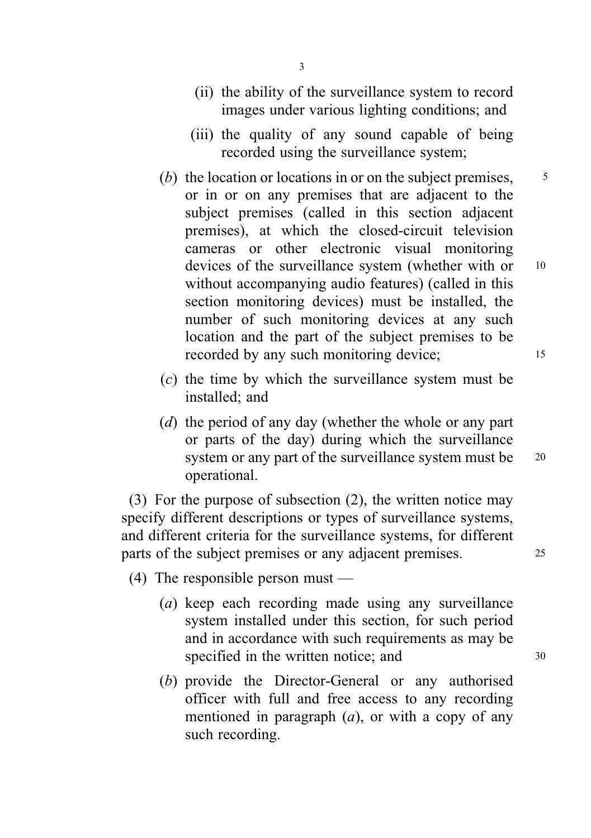- (ii) the ability of the surveillance system to record images under various lighting conditions; and
- (iii) the quality of any sound capable of being recorded using the surveillance system;
- (b) the location or locations in or on the subject premises,  $\frac{5}{5}$ or in or on any premises that are adjacent to the subject premises (called in this section adjacent premises), at which the closed-circuit television cameras or other electronic visual monitoring devices of the surveillance system (whether with or 10 without accompanying audio features) (called in this section monitoring devices) must be installed, the number of such monitoring devices at any such location and the part of the subject premises to be recorded by any such monitoring device; 15
- (c) the time by which the surveillance system must be installed; and
- (d) the period of any day (whether the whole or any part or parts of the day) during which the surveillance system or any part of the surveillance system must be 20 operational.

(3) For the purpose of subsection (2), the written notice may specify different descriptions or types of surveillance systems, and different criteria for the surveillance systems, for different parts of the subject premises or any adjacent premises. 25

(4) The responsible person must —

- (a) keep each recording made using any surveillance system installed under this section, for such period and in accordance with such requirements as may be specified in the written notice; and  $30$
- (b) provide the Director-General or any authorised officer with full and free access to any recording mentioned in paragraph  $(a)$ , or with a copy of any such recording.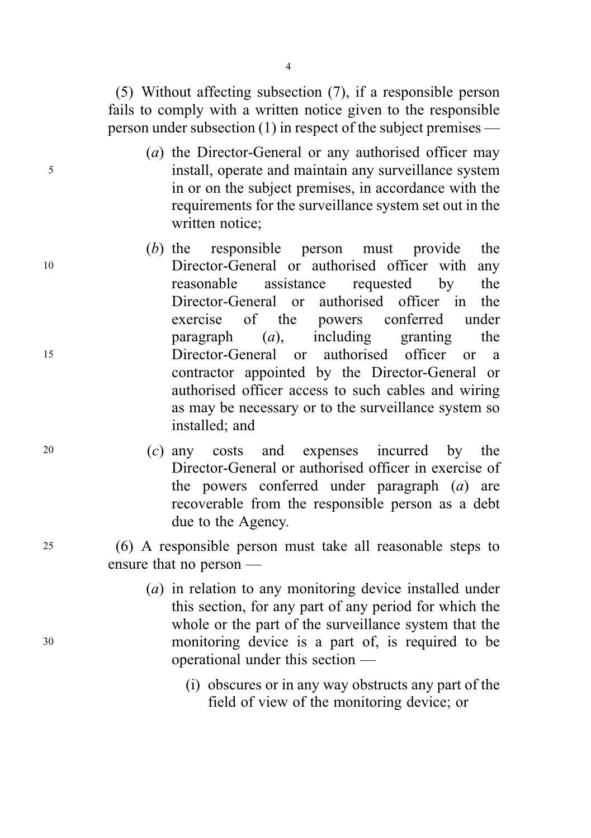(5) Without affecting subsection (7), if a responsible person fails to comply with a written notice given to the responsible person under subsection (1) in respect of the subject premises —

- (a) the Director-General or any authorised officer may <sup>5</sup> install, operate and maintain any surveillance system in or on the subject premises, in accordance with the requirements for the surveillance system set out in the written notice;
- (b) the responsible person must provide the <sup>10</sup> Director-General or authorised officer with any reasonable assistance requested by the Director-General or authorised officer in the exercise of the powers conferred under paragraph  $(a)$ , including granting the <sup>15</sup> Director-General or authorised officer or a contractor appointed by the Director-General or authorised officer access to such cables and wiring as may be necessary or to the surveillance system so installed; and
- <sup>20</sup> (c) any costs and expenses incurred by the Director-General or authorised officer in exercise of the powers conferred under paragraph  $(a)$  are recoverable from the responsible person as a debt due to the Agency.
- <sup>25</sup> (6) A responsible person must take all reasonable steps to ensure that no person —
- (a) in relation to any monitoring device installed under this section, for any part of any period for which the whole or the part of the surveillance system that the <sup>30</sup> monitoring device is a part of, is required to be operational under this section —
	- (i) obscures or in any way obstructs any part of the field of view of the monitoring device; or

4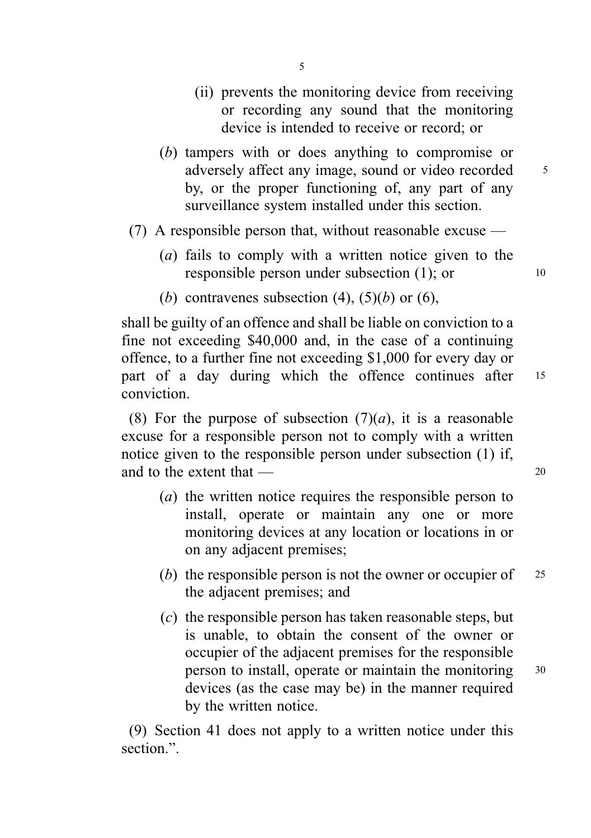- (ii) prevents the monitoring device from receiving or recording any sound that the monitoring device is intended to receive or record; or
- (b) tampers with or does anything to compromise or adversely affect any image, sound or video recorded <sup>5</sup> by, or the proper functioning of, any part of any surveillance system installed under this section.
- (7) A responsible person that, without reasonable excuse  $-$ 
	- (a) fails to comply with a written notice given to the responsible person under subsection (1); or 10
	- (b) contravenes subsection (4),  $(5)(b)$  or (6),

shall be guilty of an offence and shall be liable on conviction to a fine not exceeding \$40,000 and, in the case of a continuing offence, to a further fine not exceeding \$1,000 for every day or part of a day during which the offence continues after 15 conviction.

(8) For the purpose of subsection  $(7)(a)$ , it is a reasonable excuse for a responsible person not to comply with a written notice given to the responsible person under subsection (1) if, and to the extent that  $\frac{1}{20}$ 

- (a) the written notice requires the responsible person to install, operate or maintain any one or more monitoring devices at any location or locations in or on any adjacent premises;
- (b) the responsible person is not the owner or occupier of  $25$ the adjacent premises; and
- (c) the responsible person has taken reasonable steps, but is unable, to obtain the consent of the owner or occupier of the adjacent premises for the responsible person to install, operate or maintain the monitoring <sup>30</sup> devices (as the case may be) in the manner required by the written notice.

(9) Section 41 does not apply to a written notice under this section.".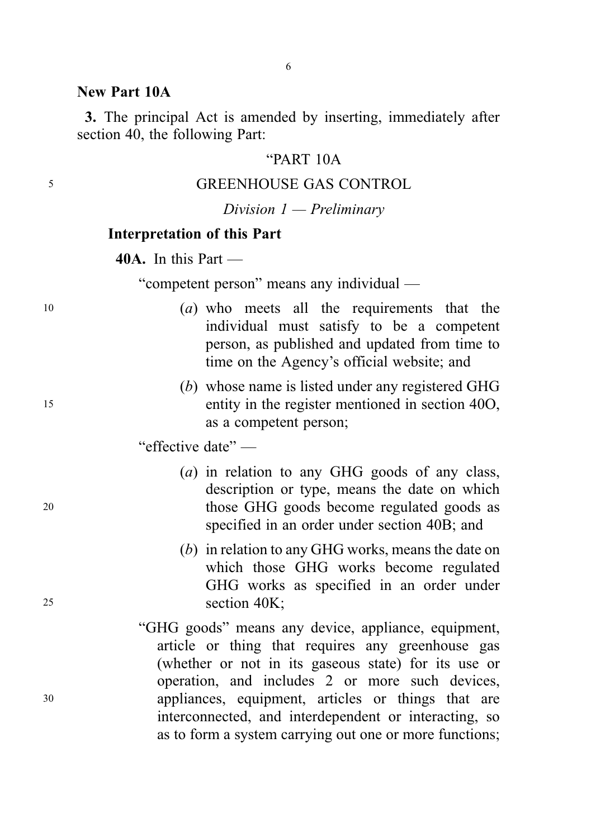### New Part 10A

3. The principal Act is amended by inserting, immediately after section 40, the following Part:

### "PART 10A

# <sup>5</sup> GREENHOUSE GAS CONTROL

# Division 1 — Preliminary

#### Interpretation of this Part

40A. In this Part —

"competent person" means any individual —

- <sup>10</sup> (a) who meets all the requirements that the individual must satisfy to be a competent person, as published and updated from time to time on the Agency's official website; and
- (b) whose name is listed under any registered GHG <sup>15</sup> entity in the register mentioned in section 40O, as a competent person;

"effective date" —

- (a) in relation to any GHG goods of any class, description or type, means the date on which <sup>20</sup> those GHG goods become regulated goods as specified in an order under section 40B; and
- (b) in relation to any GHG works, means the date on which those GHG works become regulated GHG works as specified in an order under <sup>25</sup> section 40K;
- "GHG goods" means any device, appliance, equipment, article or thing that requires any greenhouse gas (whether or not in its gaseous state) for its use or operation, and includes 2 or more such devices, <sup>30</sup> appliances, equipment, articles or things that are interconnected, and interdependent or interacting, so as to form a system carrying out one or more functions;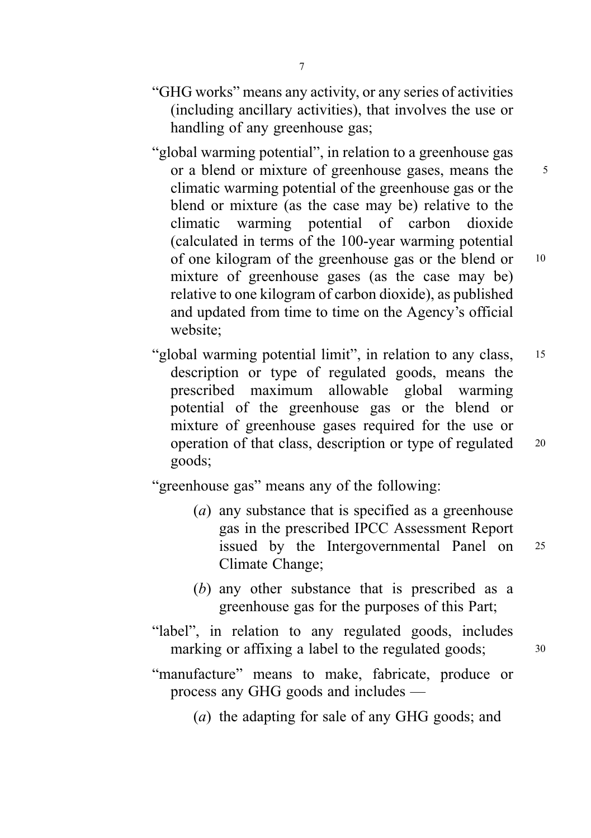- "GHG works" means any activity, or any series of activities (including ancillary activities), that involves the use or handling of any greenhouse gas;
- "global warming potential", in relation to a greenhouse gas or a blend or mixture of greenhouse gases, means the 5 climatic warming potential of the greenhouse gas or the blend or mixture (as the case may be) relative to the climatic warming potential of carbon dioxide (calculated in terms of the 100-year warming potential of one kilogram of the greenhouse gas or the blend or <sup>10</sup> mixture of greenhouse gases (as the case may be) relative to one kilogram of carbon dioxide), as published and updated from time to time on the Agency's official website;
- "global warming potential limit", in relation to any class, 15 description or type of regulated goods, means the prescribed maximum allowable global warming potential of the greenhouse gas or the blend or mixture of greenhouse gases required for the use or operation of that class, description or type of regulated <sup>20</sup> goods;

"greenhouse gas" means any of the following:

- (a) any substance that is specified as a greenhouse gas in the prescribed IPCC Assessment Report issued by the Intergovernmental Panel on <sup>25</sup> Climate Change;
- (b) any other substance that is prescribed as a greenhouse gas for the purposes of this Part;
- "label", in relation to any regulated goods, includes marking or affixing a label to the regulated goods;  $30$
- "manufacture" means to make, fabricate, produce or process any GHG goods and includes —
	- (a) the adapting for sale of any GHG goods; and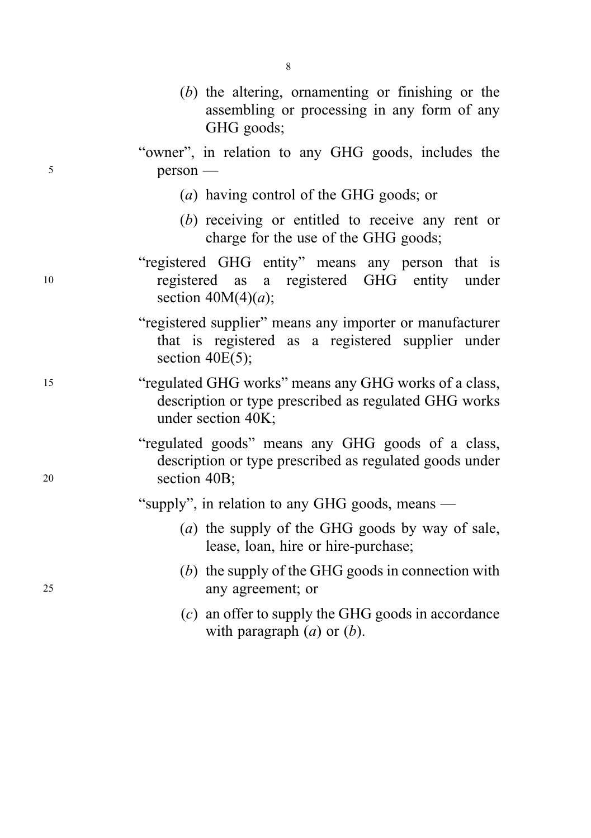|    | $(b)$ the altering, ornamenting or finishing or the<br>assembling or processing in any form of any<br>GHG goods;                     |
|----|--------------------------------------------------------------------------------------------------------------------------------------|
| 5  | "owner", in relation to any GHG goods, includes the<br>$person -$                                                                    |
|    | (a) having control of the GHG goods; or                                                                                              |
|    | (b) receiving or entitled to receive any rent or<br>charge for the use of the GHG goods;                                             |
| 10 | "registered GHG entity" means any person that is<br>registered GHG entity under<br>registered as<br>a<br>section $40M(4)(a)$ ;       |
|    | "registered supplier" means any importer or manufacturer<br>that is registered as a registered supplier under<br>section $40E(5)$ ;  |
| 15 | "regulated GHG works" means any GHG works of a class,<br>description or type prescribed as regulated GHG works<br>under section 40K; |
| 20 | "regulated goods" means any GHG goods of a class,<br>description or type prescribed as regulated goods under<br>section 40B;         |
|    | "supply", in relation to any GHG goods, means -                                                                                      |
|    | (a) the supply of the GHG goods by way of sale,<br>lease, loan, hire or hire-purchase;                                               |
| 25 | $(b)$ the supply of the GHG goods in connection with<br>any agreement; or                                                            |
|    | $(c)$ an offer to supply the GHG goods in accordance<br>with paragraph $(a)$ or $(b)$ .                                              |

8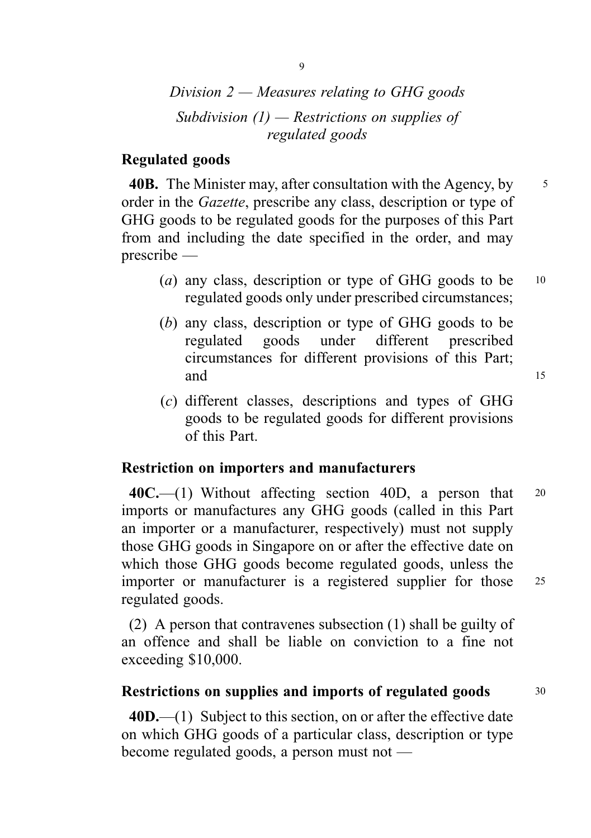# Division  $2$  — Measures relating to GHG goods Subdivision  $(1)$  — Restrictions on supplies of regulated goods

# Regulated goods

40B. The Minister may, after consultation with the Agency, by 5 order in the Gazette, prescribe any class, description or type of GHG goods to be regulated goods for the purposes of this Part from and including the date specified in the order, and may prescribe —

- (a) any class, description or type of GHG goods to be  $10$ regulated goods only under prescribed circumstances;
- (b) any class, description or type of GHG goods to be regulated goods under different prescribed circumstances for different provisions of this Part; and 15
- (c) different classes, descriptions and types of GHG goods to be regulated goods for different provisions of this Part.

#### Restriction on importers and manufacturers

 $40C$ .—(1) Without affecting section 40D, a person that 20 imports or manufactures any GHG goods (called in this Part an importer or a manufacturer, respectively) must not supply those GHG goods in Singapore on or after the effective date on which those GHG goods become regulated goods, unless the importer or manufacturer is a registered supplier for those 25 regulated goods.

(2) A person that contravenes subsection (1) shall be guilty of an offence and shall be liable on conviction to a fine not exceeding \$10,000.

#### Restrictions on supplies and imports of regulated goods  $30$

40D.—(1) Subject to this section, on or after the effective date on which GHG goods of a particular class, description or type become regulated goods, a person must not —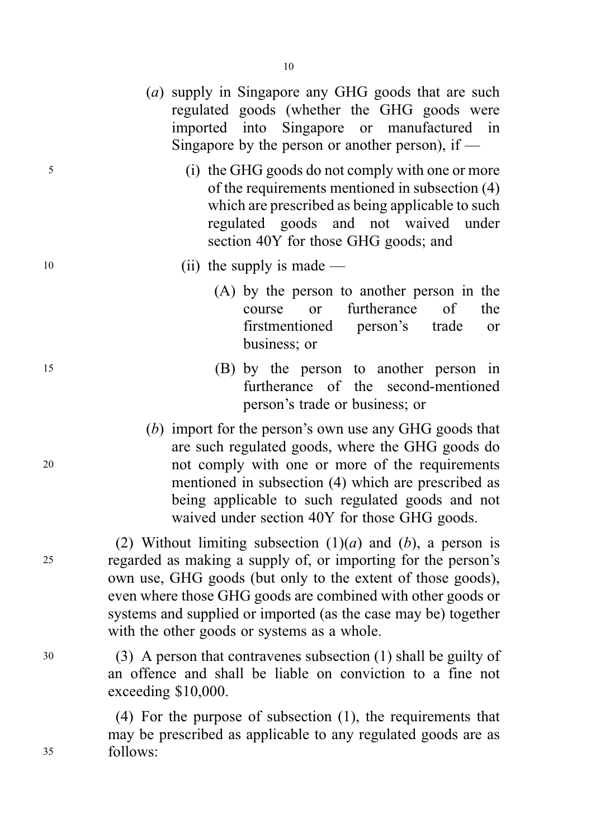- (a) supply in Singapore any GHG goods that are such regulated goods (whether the GHG goods were imported into Singapore or manufactured in Singapore by the person or another person), if  $-$
- <sup>5</sup> (i) the GHG goods do not comply with one or more of the requirements mentioned in subsection (4) which are prescribed as being applicable to such regulated goods and not waived under section 40Y for those GHG goods; and

# 10 (ii) the supply is made —

- (A) by the person to another person in the course or furtherance of the firstmentioned person's trade or business; or
- <sup>15</sup> (B) by the person to another person in furtherance of the second-mentioned person's trade or business; or
- (b) import for the person's own use any GHG goods that are such regulated goods, where the GHG goods do <sup>20</sup> not comply with one or more of the requirements mentioned in subsection (4) which are prescribed as being applicable to such regulated goods and not waived under section 40Y for those GHG goods.

(2) Without limiting subsection  $(1)(a)$  and  $(b)$ , a person is <sup>25</sup> regarded as making a supply of, or importing for the person's own use, GHG goods (but only to the extent of those goods), even where those GHG goods are combined with other goods or systems and supplied or imported (as the case may be) together with the other goods or systems as a whole.

<sup>30</sup> (3) A person that contravenes subsection (1) shall be guilty of an offence and shall be liable on conviction to a fine not exceeding \$10,000.

(4) For the purpose of subsection (1), the requirements that may be prescribed as applicable to any regulated goods are as <sup>35</sup> follows: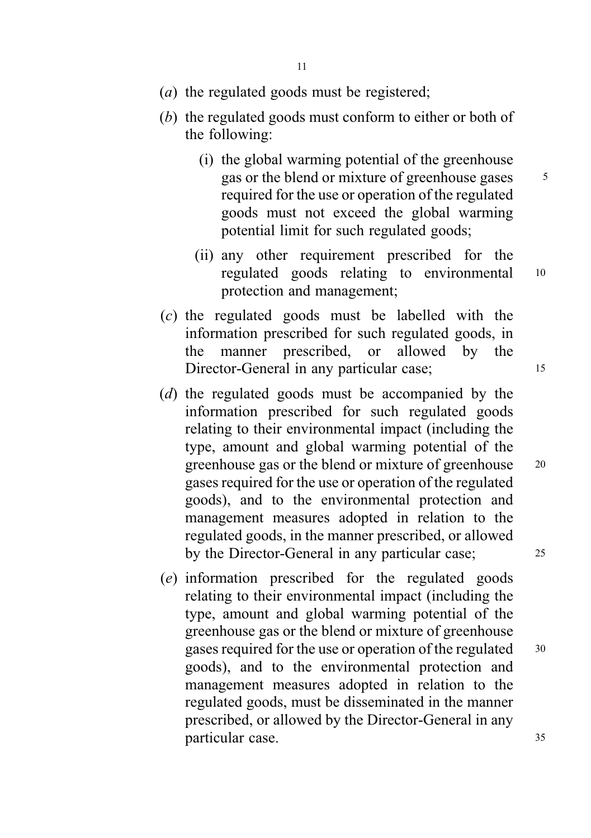- (*a*) the regulated goods must be registered;
- (b) the regulated goods must conform to either or both of the following:
	- (i) the global warming potential of the greenhouse gas or the blend or mixture of greenhouse gases  $\frac{5}{5}$ required for the use or operation of the regulated goods must not exceed the global warming potential limit for such regulated goods;
	- (ii) any other requirement prescribed for the regulated goods relating to environmental <sup>10</sup> protection and management;
- (c) the regulated goods must be labelled with the information prescribed for such regulated goods, in the manner prescribed, or allowed by the Director-General in any particular case; 15
- (d) the regulated goods must be accompanied by the information prescribed for such regulated goods relating to their environmental impact (including the type, amount and global warming potential of the greenhouse gas or the blend or mixture of greenhouse <sup>20</sup> gases required for the use or operation of the regulated goods), and to the environmental protection and management measures adopted in relation to the regulated goods, in the manner prescribed, or allowed by the Director-General in any particular case; 25
- (e) information prescribed for the regulated goods relating to their environmental impact (including the type, amount and global warming potential of the greenhouse gas or the blend or mixture of greenhouse gases required for the use or operation of the regulated  $30$ goods), and to the environmental protection and management measures adopted in relation to the regulated goods, must be disseminated in the manner prescribed, or allowed by the Director-General in any particular case. 35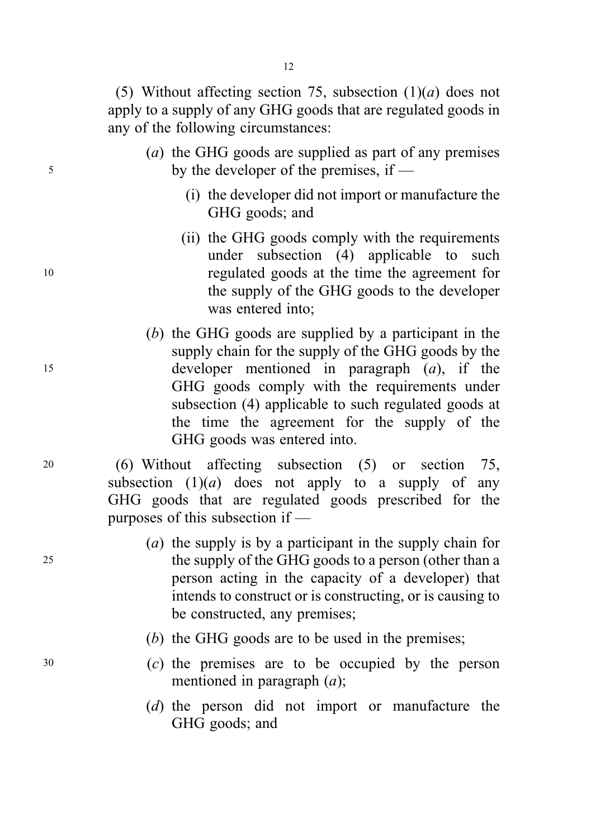(5) Without affecting section 75, subsection  $(1)(a)$  does not apply to a supply of any GHG goods that are regulated goods in any of the following circumstances:

- (a) the GHG goods are supplied as part of any premises <sup>5</sup> by the developer of the premises, if —
	- (i) the developer did not import or manufacture the GHG goods; and
- (ii) the GHG goods comply with the requirements under subsection (4) applicable to such <sup>10</sup> regulated goods at the time the agreement for the supply of the GHG goods to the developer was entered into;
- (b) the GHG goods are supplied by a participant in the supply chain for the supply of the GHG goods by the <sup>15</sup> developer mentioned in paragraph (a), if the GHG goods comply with the requirements under subsection (4) applicable to such regulated goods at the time the agreement for the supply of the GHG goods was entered into.

<sup>20</sup> (6) Without affecting subsection (5) or section 75, subsection  $(1)(a)$  does not apply to a supply of any GHG goods that are regulated goods prescribed for the purposes of this subsection if —

- (a) the supply is by a participant in the supply chain for <sup>25</sup> the supply of the GHG goods to a person (other than a person acting in the capacity of a developer) that intends to construct or is constructing, or is causing to be constructed, any premises;
	- (b) the GHG goods are to be used in the premises;
- <sup>30</sup> (c) the premises are to be occupied by the person mentioned in paragraph  $(a)$ :
	- (d) the person did not import or manufacture the GHG goods; and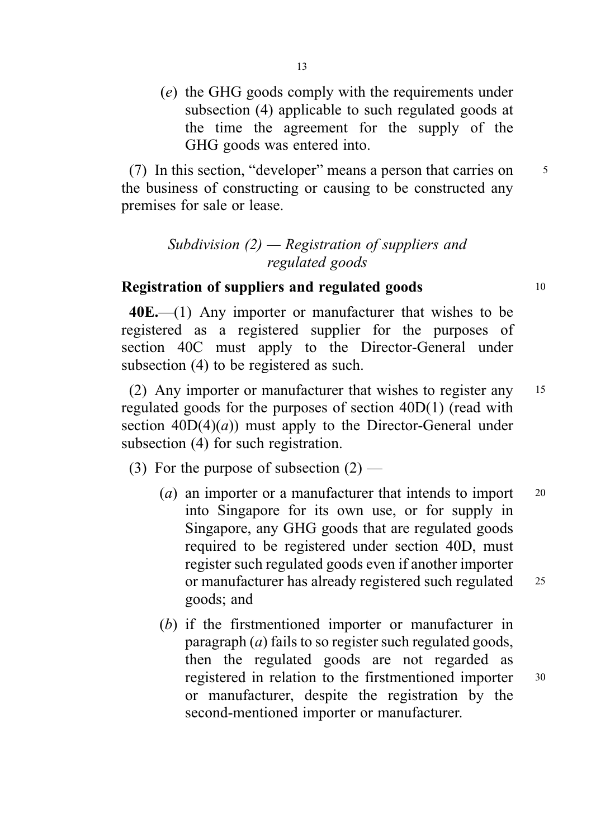(e) the GHG goods comply with the requirements under subsection (4) applicable to such regulated goods at the time the agreement for the supply of the GHG goods was entered into.

(7) In this section, "developer" means a person that carries on  $5$ the business of constructing or causing to be constructed any premises for sale or lease.

# Subdivision  $(2)$  — Registration of suppliers and regulated goods

# Registration of suppliers and regulated goods 10

40E.—(1) Any importer or manufacturer that wishes to be registered as a registered supplier for the purposes of section 40C must apply to the Director-General under subsection (4) to be registered as such.

(2) Any importer or manufacturer that wishes to register any <sup>15</sup> regulated goods for the purposes of section 40D(1) (read with section  $40D(4)(a)$  must apply to the Director-General under subsection (4) for such registration.

(3) For the purpose of subsection  $(2)$  —

- (*a*) an importer or a manufacturer that intends to import  $20$ into Singapore for its own use, or for supply in Singapore, any GHG goods that are regulated goods required to be registered under section 40D, must register such regulated goods even if another importer or manufacturer has already registered such regulated 25 goods; and
- (b) if the firstmentioned importer or manufacturer in paragraph  $(a)$  fails to so register such regulated goods, then the regulated goods are not regarded as registered in relation to the firstmentioned importer <sup>30</sup> or manufacturer, despite the registration by the second-mentioned importer or manufacturer.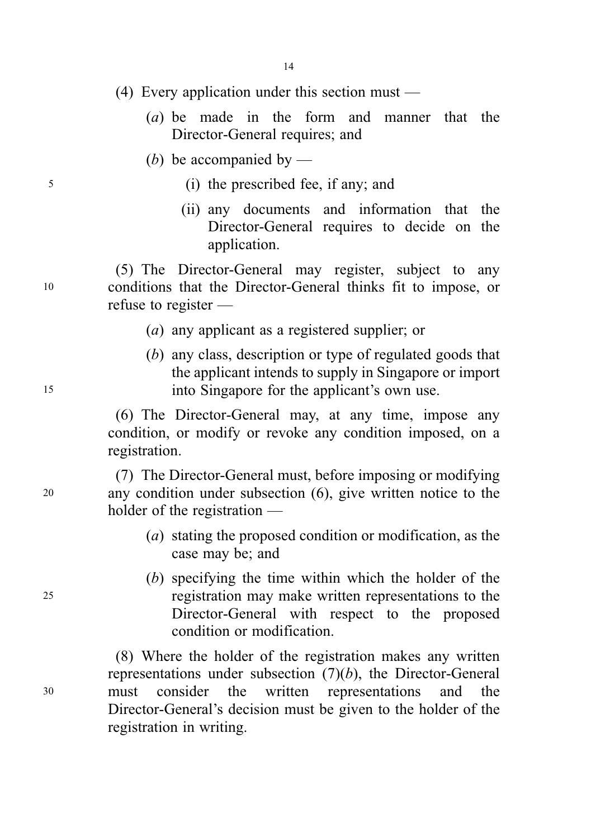- (4) Every application under this section must
	- (a) be made in the form and manner that the Director-General requires; and
	- (b) be accompanied by  $-$
- <sup>5</sup> (i) the prescribed fee, if any; and
	- (ii) any documents and information that the Director-General requires to decide on the application.

(5) The Director-General may register, subject to any <sup>10</sup> conditions that the Director-General thinks fit to impose, or refuse to register —

- (a) any applicant as a registered supplier; or
- (b) any class, description or type of regulated goods that the applicant intends to supply in Singapore or import <sup>15</sup> into Singapore for the applicant's own use.

(6) The Director-General may, at any time, impose any condition, or modify or revoke any condition imposed, on a registration.

(7) The Director-General must, before imposing or modifying <sup>20</sup> any condition under subsection (6), give written notice to the holder of the registration —

- (a) stating the proposed condition or modification, as the case may be; and
- (b) specifying the time within which the holder of the <sup>25</sup> registration may make written representations to the Director-General with respect to the proposed condition or modification.

(8) Where the holder of the registration makes any written representations under subsection  $(7)(b)$ , the Director-General <sup>30</sup> must consider the written representations and the Director-General's decision must be given to the holder of the registration in writing.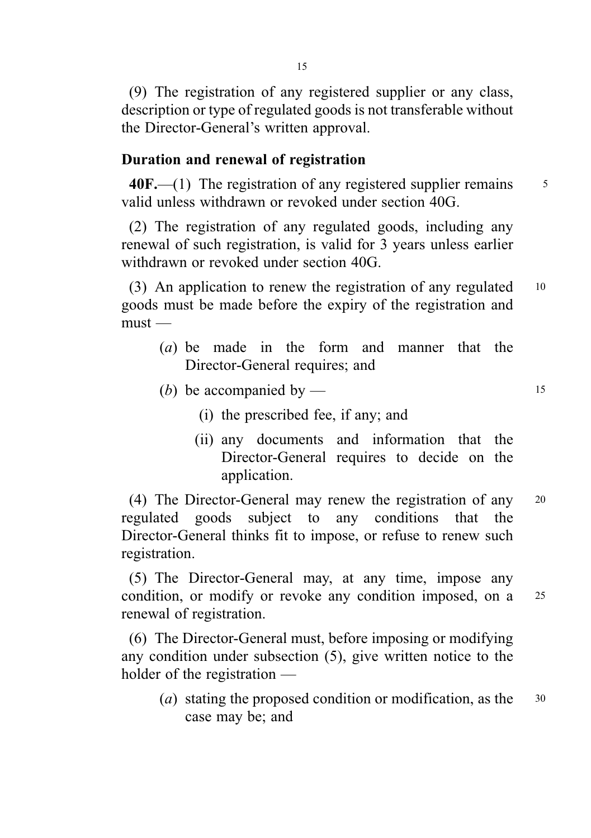(9) The registration of any registered supplier or any class, description or type of regulated goods is not transferable without the Director-General's written approval.

# Duration and renewal of registration

 $40F$ .—(1) The registration of any registered supplier remains  $55$ valid unless withdrawn or revoked under section 40G.

(2) The registration of any regulated goods, including any renewal of such registration, is valid for 3 years unless earlier withdrawn or revoked under section 40G.

(3) An application to renew the registration of any regulated <sup>10</sup> goods must be made before the expiry of the registration and  $must -$ 

- (a) be made in the form and manner that the Director-General requires; and
- (b) be accompanied by  $-$  15
	- (i) the prescribed fee, if any; and
	- (ii) any documents and information that the Director-General requires to decide on the application.

(4) The Director-General may renew the registration of any <sup>20</sup> regulated goods subject to any conditions that the Director-General thinks fit to impose, or refuse to renew such registration.

(5) The Director-General may, at any time, impose any condition, or modify or revoke any condition imposed, on a 25 renewal of registration.

(6) The Director-General must, before imposing or modifying any condition under subsection (5), give written notice to the holder of the registration —

(*a*) stating the proposed condition or modification, as the  $30$ case may be; and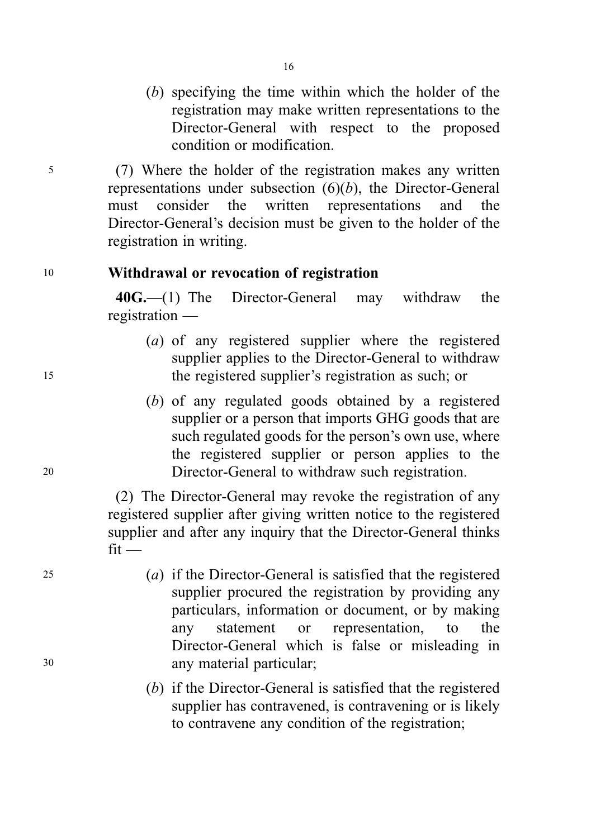(b) specifying the time within which the holder of the registration may make written representations to the Director-General with respect to the proposed condition or modification.

<sup>5</sup> (7) Where the holder of the registration makes any written representations under subsection  $(6)(b)$ , the Director-General must consider the written representations and the Director-General's decision must be given to the holder of the registration in writing.

### <sup>10</sup> Withdrawal or revocation of registration

40G.—(1) The Director-General may withdraw the registration —

- (a) of any registered supplier where the registered supplier applies to the Director-General to withdraw <sup>15</sup> the registered supplier's registration as such; or
- (b) of any regulated goods obtained by a registered supplier or a person that imports GHG goods that are such regulated goods for the person's own use, where the registered supplier or person applies to the <sup>20</sup> Director-General to withdraw such registration.

(2) The Director-General may revoke the registration of any registered supplier after giving written notice to the registered supplier and after any inquiry that the Director-General thinks  $fit$  —

- <sup>25</sup> (a) if the Director-General is satisfied that the registered supplier procured the registration by providing any particulars, information or document, or by making any statement or representation, to the Director-General which is false or misleading in <sup>30</sup> any material particular;
	- (b) if the Director-General is satisfied that the registered supplier has contravened, is contravening or is likely to contravene any condition of the registration;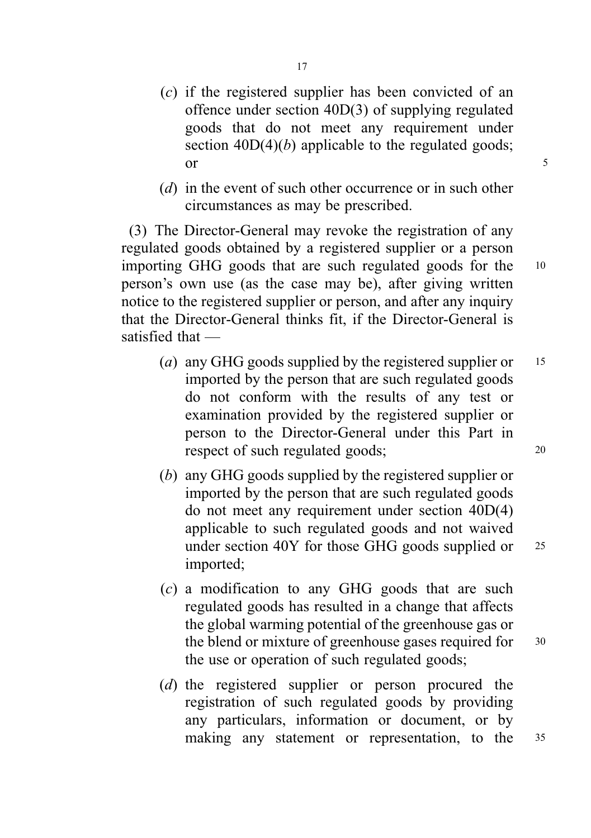- (c) if the registered supplier has been convicted of an offence under section 40D(3) of supplying regulated goods that do not meet any requirement under section  $40D(4)(b)$  applicable to the regulated goods;  $\sigma$  5
- (d) in the event of such other occurrence or in such other circumstances as may be prescribed.

(3) The Director-General may revoke the registration of any regulated goods obtained by a registered supplier or a person importing GHG goods that are such regulated goods for the <sup>10</sup> person's own use (as the case may be), after giving written notice to the registered supplier or person, and after any inquiry that the Director-General thinks fit, if the Director-General is satisfied that —

- (a) any GHG goods supplied by the registered supplier or  $15$ imported by the person that are such regulated goods do not conform with the results of any test or examination provided by the registered supplier or person to the Director-General under this Part in respect of such regulated goods; 20
- (b) any GHG goods supplied by the registered supplier or imported by the person that are such regulated goods do not meet any requirement under section 40D(4) applicable to such regulated goods and not waived under section 40Y for those GHG goods supplied or 25 imported;
- (c) a modification to any GHG goods that are such regulated goods has resulted in a change that affects the global warming potential of the greenhouse gas or the blend or mixture of greenhouse gases required for 30 the use or operation of such regulated goods;
- (d) the registered supplier or person procured the registration of such regulated goods by providing any particulars, information or document, or by making any statement or representation, to the <sup>35</sup>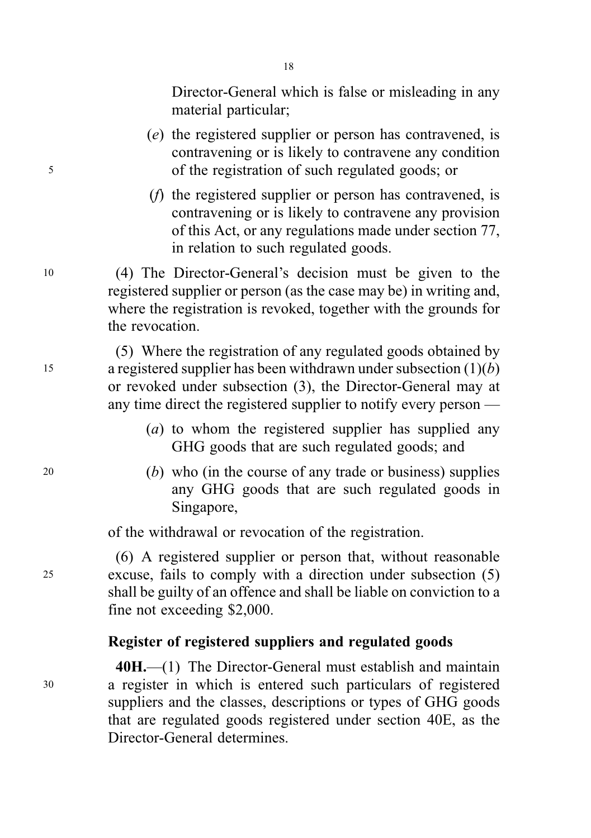Director-General which is false or misleading in any material particular;

- (e) the registered supplier or person has contravened, is contravening or is likely to contravene any condition <sup>5</sup> of the registration of such regulated goods; or
	- (f) the registered supplier or person has contravened, is contravening or is likely to contravene any provision of this Act, or any regulations made under section 77, in relation to such regulated goods.

<sup>10</sup> (4) The Director-General's decision must be given to the registered supplier or person (as the case may be) in writing and, where the registration is revoked, together with the grounds for the revocation.

(5) Where the registration of any regulated goods obtained by 15 a registered supplier has been withdrawn under subsection  $(1)(b)$ or revoked under subsection (3), the Director-General may at any time direct the registered supplier to notify every person —

- (a) to whom the registered supplier has supplied any GHG goods that are such regulated goods; and
- $20$  (b) who (in the course of any trade or business) supplies any GHG goods that are such regulated goods in Singapore,

of the withdrawal or revocation of the registration.

(6) A registered supplier or person that, without reasonable <sup>25</sup> excuse, fails to comply with a direction under subsection (5) shall be guilty of an offence and shall be liable on conviction to a fine not exceeding \$2,000.

# Register of registered suppliers and regulated goods

40H.—(1) The Director-General must establish and maintain <sup>30</sup> a register in which is entered such particulars of registered suppliers and the classes, descriptions or types of GHG goods that are regulated goods registered under section 40E, as the Director-General determines.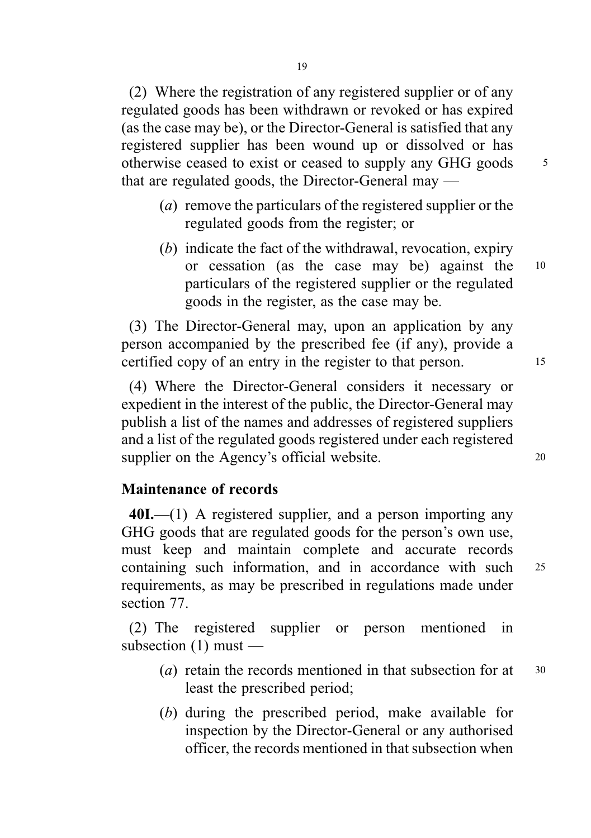(2) Where the registration of any registered supplier or of any regulated goods has been withdrawn or revoked or has expired (as the case may be), or the Director-General is satisfied that any registered supplier has been wound up or dissolved or has otherwise ceased to exist or ceased to supply any GHG goods <sup>5</sup> that are regulated goods, the Director-General may —

- (a) remove the particulars of the registered supplier or the regulated goods from the register; or
- (b) indicate the fact of the withdrawal, revocation, expiry or cessation (as the case may be) against the <sup>10</sup> particulars of the registered supplier or the regulated goods in the register, as the case may be.

(3) The Director-General may, upon an application by any person accompanied by the prescribed fee (if any), provide a certified copy of an entry in the register to that person. 15

(4) Where the Director-General considers it necessary or expedient in the interest of the public, the Director-General may publish a list of the names and addresses of registered suppliers and a list of the regulated goods registered under each registered supplier on the Agency's official website. 20

# Maintenance of records

40I.—(1) A registered supplier, and a person importing any GHG goods that are regulated goods for the person's own use, must keep and maintain complete and accurate records containing such information, and in accordance with such <sup>25</sup> requirements, as may be prescribed in regulations made under section 77.

(2) The registered supplier or person mentioned in subsection (1) must —

- (*a*) retain the records mentioned in that subsection for at  $30$ least the prescribed period;
- (b) during the prescribed period, make available for inspection by the Director-General or any authorised officer, the records mentioned in that subsection when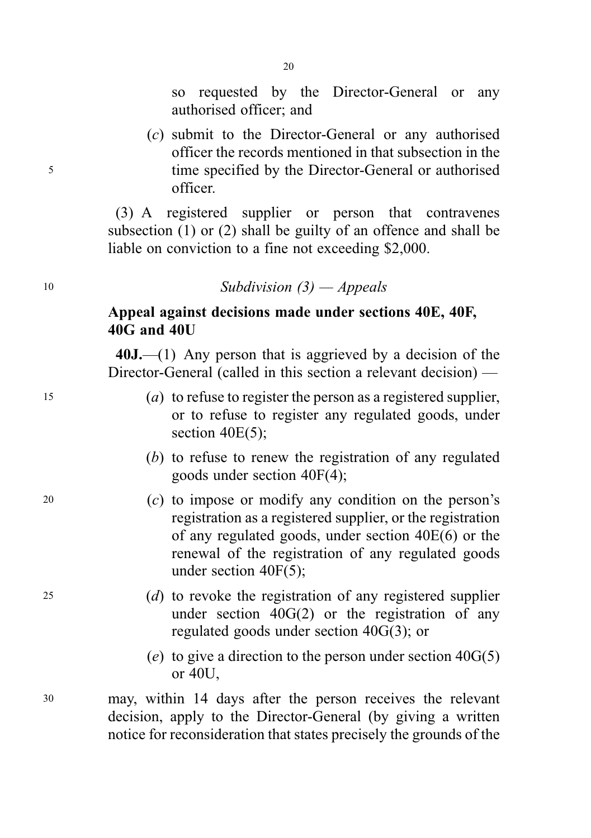so requested by the Director-General or any authorised officer; and

(c) submit to the Director-General or any authorised officer the records mentioned in that subsection in the <sup>5</sup> time specified by the Director-General or authorised officer.

> (3) A registered supplier or person that contravenes subsection (1) or (2) shall be guilty of an offence and shall be liable on conviction to a fine not exceeding \$2,000.

# <sup>10</sup> Subdivision (3) — Appeals

# Appeal against decisions made under sections 40E, 40F, 40G and 40U

40J.—(1) Any person that is aggrieved by a decision of the Director-General (called in this section a relevant decision) —

- <sup>15</sup> (a) to refuse to register the person as a registered supplier, or to refuse to register any regulated goods, under section 40E(5);
	- (b) to refuse to renew the registration of any regulated goods under section 40F(4);
- <sup>20</sup> (c) to impose or modify any condition on the person's registration as a registered supplier, or the registration of any regulated goods, under section 40E(6) or the renewal of the registration of any regulated goods under section 40F(5);
- <sup>25</sup> (d) to revoke the registration of any registered supplier under section  $40G(2)$  or the registration of any regulated goods under section 40G(3); or
	- (e) to give a direction to the person under section  $40G(5)$ or 40U,
- <sup>30</sup> may, within 14 days after the person receives the relevant decision, apply to the Director-General (by giving a written notice for reconsideration that states precisely the grounds of the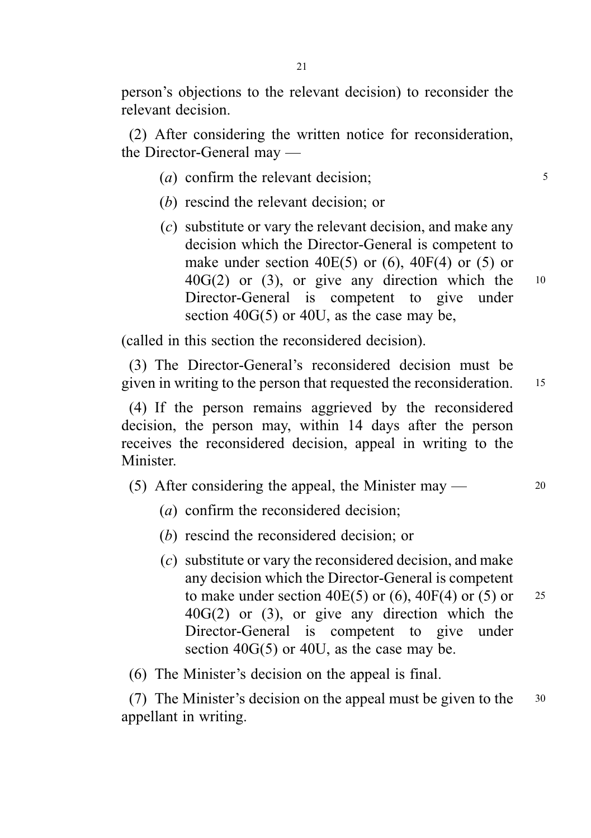person's objections to the relevant decision) to reconsider the relevant decision.

(2) After considering the written notice for reconsideration, the Director-General may —

- (*a*) confirm the relevant decision;  $\frac{5}{5}$
- (b) rescind the relevant decision; or
- (c) substitute or vary the relevant decision, and make any decision which the Director-General is competent to make under section  $40E(5)$  or  $(6)$ ,  $40F(4)$  or  $(5)$  or  $40G(2)$  or (3), or give any direction which the  $10$ Director-General is competent to give under section 40G(5) or 40U, as the case may be,

(called in this section the reconsidered decision).

(3) The Director-General's reconsidered decision must be given in writing to the person that requested the reconsideration. <sup>15</sup>

(4) If the person remains aggrieved by the reconsidered decision, the person may, within 14 days after the person receives the reconsidered decision, appeal in writing to the Minister.

(5) After considering the appeal, the Minister may  $\sim$  20

- (a) confirm the reconsidered decision:
- (b) rescind the reconsidered decision; or
- (c) substitute or vary the reconsidered decision, and make any decision which the Director-General is competent to make under section 40E(5) or (6), 40F(4) or (5) or  $25$ 40G(2) or (3), or give any direction which the Director-General is competent to give under section 40G(5) or 40U, as the case may be.
- (6) The Minister's decision on the appeal is final.

(7) The Minister's decision on the appeal must be given to the <sup>30</sup> appellant in writing.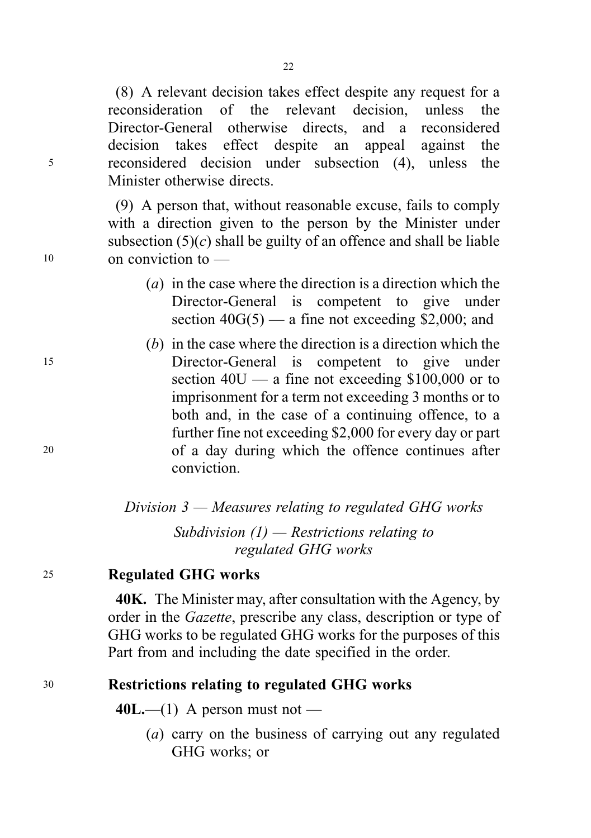(8) A relevant decision takes effect despite any request for a reconsideration of the relevant decision, unless the Director-General otherwise directs, and a reconsidered decision takes effect despite an appeal against the <sup>5</sup> reconsidered decision under subsection (4), unless the Minister otherwise directs.

(9) A person that, without reasonable excuse, fails to comply with a direction given to the person by the Minister under subsection  $(5)(c)$  shall be guilty of an offence and shall be liable <sup>10</sup> on conviction to —

- (a) in the case where the direction is a direction which the Director-General is competent to give under section  $40G(5)$  — a fine not exceeding \$2,000; and
- (b) in the case where the direction is a direction which the <sup>15</sup> Director-General is competent to give under section  $40U - a$  fine not exceeding \$100,000 or to imprisonment for a term not exceeding 3 months or to both and, in the case of a continuing offence, to a further fine not exceeding \$2,000 for every day or part <sup>20</sup> of a day during which the offence continues after conviction.

Division  $3$  — Measures relating to regulated GHG works Subdivision  $(1)$  — Restrictions relating to regulated GHG works

# <sup>25</sup> Regulated GHG works

40K. The Minister may, after consultation with the Agency, by order in the Gazette, prescribe any class, description or type of GHG works to be regulated GHG works for the purposes of this Part from and including the date specified in the order.

# <sup>30</sup> Restrictions relating to regulated GHG works

 $40L$ —(1) A person must not —

(a) carry on the business of carrying out any regulated GHG works; or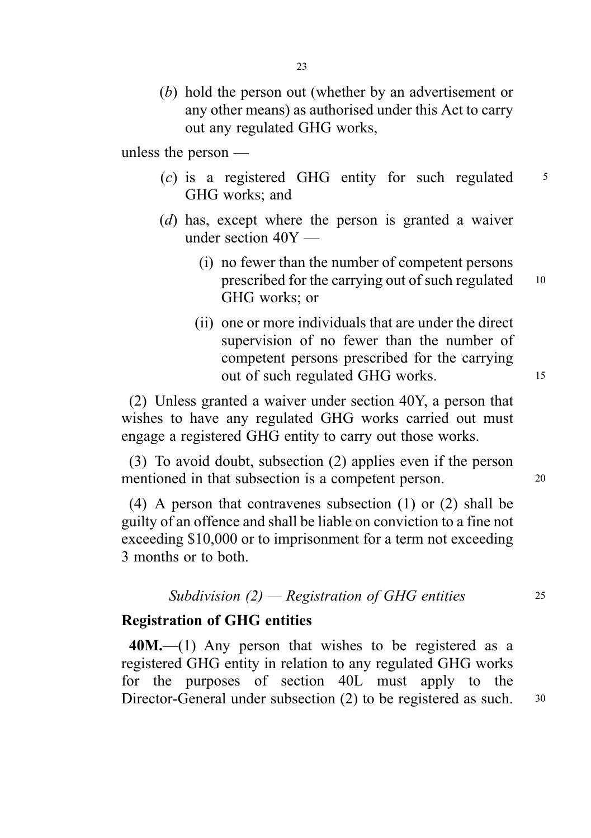(b) hold the person out (whether by an advertisement or any other means) as authorised under this Act to carry out any regulated GHG works,

unless the person —

- $(c)$  is a registered GHG entity for such regulated  $5$ GHG works; and
- (d) has, except where the person is granted a waiver under section 40Y —
	- (i) no fewer than the number of competent persons prescribed for the carrying out of such regulated 10 GHG works; or
	- (ii) one or more individuals that are under the direct supervision of no fewer than the number of competent persons prescribed for the carrying out of such regulated GHG works. 15

(2) Unless granted a waiver under section 40Y, a person that wishes to have any regulated GHG works carried out must engage a registered GHG entity to carry out those works.

(3) To avoid doubt, subsection (2) applies even if the person mentioned in that subsection is a competent person. 20

(4) A person that contravenes subsection (1) or (2) shall be guilty of an offence and shall be liable on conviction to a fine not exceeding \$10,000 or to imprisonment for a term not exceeding 3 months or to both.

### Subdivision  $(2)$  — Registration of GHG entities 25

### Registration of GHG entities

40M.—(1) Any person that wishes to be registered as a registered GHG entity in relation to any regulated GHG works for the purposes of section 40L must apply to the Director-General under subsection (2) to be registered as such. 30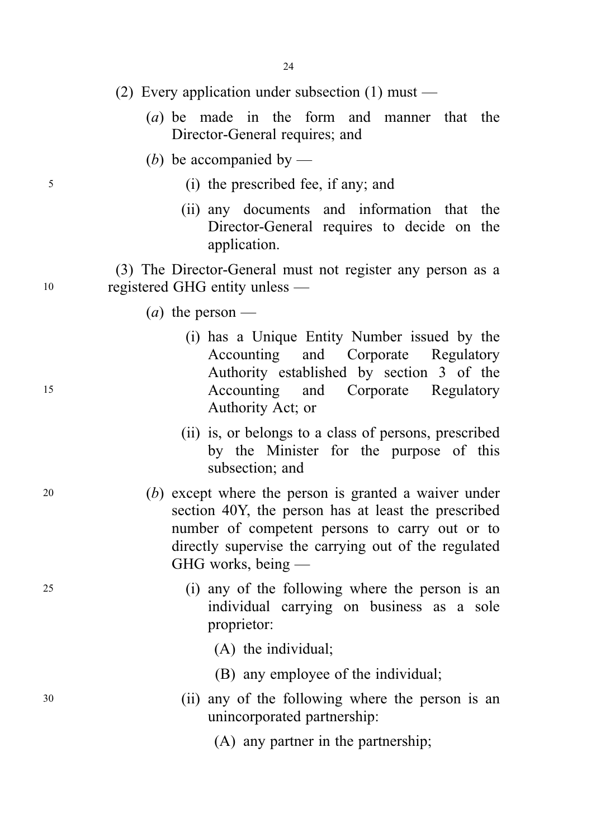- (2) Every application under subsection  $(1)$  must
	- (a) be made in the form and manner that the Director-General requires; and
	- (b) be accompanied by —
- <sup>5</sup> (i) the prescribed fee, if any; and
	- (ii) any documents and information that the Director-General requires to decide on the application.

(3) The Director-General must not register any person as a <sup>10</sup> registered GHG entity unless —

- (*a*) the person —
- (i) has a Unique Entity Number issued by the Accounting and Corporate Regulatory Authority established by section 3 of the <sup>15</sup> Accounting and Corporate Regulatory Authority Act; or
	- (ii) is, or belongs to a class of persons, prescribed by the Minister for the purpose of this subsection; and
- <sup>20</sup> (b) except where the person is granted a waiver under section 40Y, the person has at least the prescribed number of competent persons to carry out or to directly supervise the carrying out of the regulated GHG works, being —
- <sup>25</sup> (i) any of the following where the person is an individual carrying on business as a sole proprietor:
	- (A) the individual;
	- (B) any employee of the individual;
- <sup>30</sup> (ii) any of the following where the person is an unincorporated partnership:
	- (A) any partner in the partnership;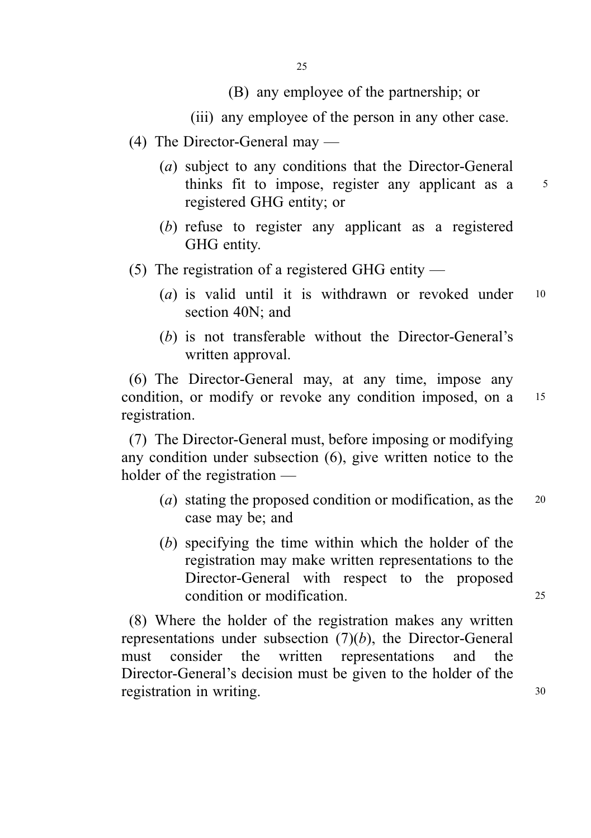# (B) any employee of the partnership; or

(iii) any employee of the person in any other case.

- (4) The Director-General may
	- (a) subject to any conditions that the Director-General thinks fit to impose, register any applicant as a 5 registered GHG entity; or
	- (b) refuse to register any applicant as a registered GHG entity.
- (5) The registration of a registered GHG entity
	- (*a*) is valid until it is withdrawn or revoked under  $10$ section 40N; and
	- (b) is not transferable without the Director-General's written approval.

(6) The Director-General may, at any time, impose any condition, or modify or revoke any condition imposed, on a 15 registration.

(7) The Director-General must, before imposing or modifying any condition under subsection (6), give written notice to the holder of the registration —

- (*a*) stating the proposed condition or modification, as the  $20$ case may be; and
- (b) specifying the time within which the holder of the registration may make written representations to the Director-General with respect to the proposed condition or modification. 25

(8) Where the holder of the registration makes any written representations under subsection  $(7)(b)$ , the Director-General must consider the written representations and the Director-General's decision must be given to the holder of the registration in writing.  $30$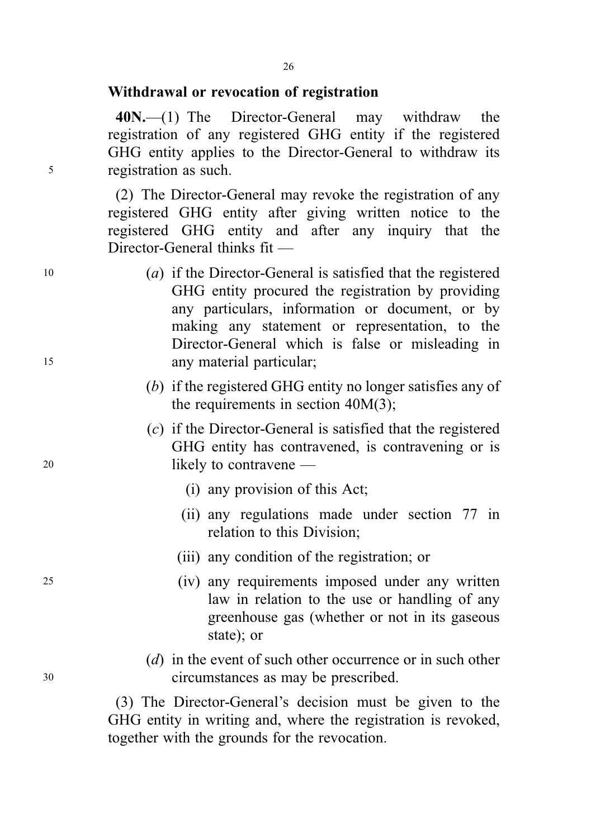#### Withdrawal or revocation of registration

40N.—(1) The Director-General may withdraw the registration of any registered GHG entity if the registered GHG entity applies to the Director-General to withdraw its <sup>5</sup> registration as such.

> (2) The Director-General may revoke the registration of any registered GHG entity after giving written notice to the registered GHG entity and after any inquiry that the Director-General thinks fit —

- <sup>10</sup> (a) if the Director-General is satisfied that the registered GHG entity procured the registration by providing any particulars, information or document, or by making any statement or representation, to the Director-General which is false or misleading in <sup>15</sup> any material particular;
	- (b) if the registered GHG entity no longer satisfies any of the requirements in section 40M(3);
- (c) if the Director-General is satisfied that the registered GHG entity has contravened, is contravening or is 20 likely to contravene —
	- (i) any provision of this Act;
	- (ii) any regulations made under section 77 in relation to this Division;
	- (iii) any condition of the registration; or
- <sup>25</sup> (iv) any requirements imposed under any written law in relation to the use or handling of any greenhouse gas (whether or not in its gaseous state); or
- (*d*) in the event of such other occurrence or in such other <sup>30</sup> circumstances as may be prescribed.

(3) The Director-General's decision must be given to the GHG entity in writing and, where the registration is revoked, together with the grounds for the revocation.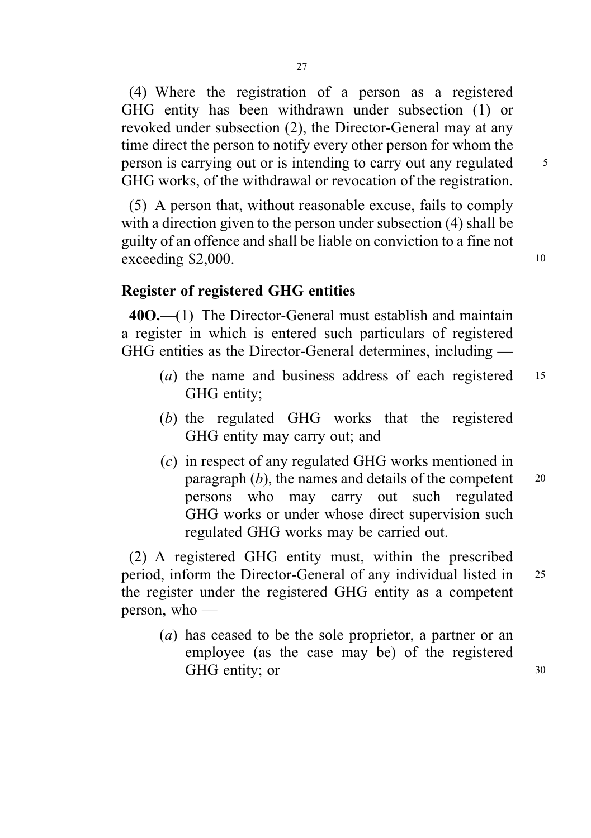(4) Where the registration of a person as a registered GHG entity has been withdrawn under subsection (1) or revoked under subsection (2), the Director-General may at any time direct the person to notify every other person for whom the person is carrying out or is intending to carry out any regulated  $\frac{5}{10}$ GHG works, of the withdrawal or revocation of the registration.

(5) A person that, without reasonable excuse, fails to comply with a direction given to the person under subsection (4) shall be guilty of an offence and shall be liable on conviction to a fine not  $e$ xceeding \$2,000. 10

# Register of registered GHG entities

40O.—(1) The Director-General must establish and maintain a register in which is entered such particulars of registered GHG entities as the Director-General determines, including —

- (a) the name and business address of each registered 15 GHG entity;
- (b) the regulated GHG works that the registered GHG entity may carry out; and
- (c) in respect of any regulated GHG works mentioned in paragraph  $(b)$ , the names and details of the competent  $20$ persons who may carry out such regulated GHG works or under whose direct supervision such regulated GHG works may be carried out.

(2) A registered GHG entity must, within the prescribed period, inform the Director-General of any individual listed in <sup>25</sup> the register under the registered GHG entity as a competent person, who —

(a) has ceased to be the sole proprietor, a partner or an employee (as the case may be) of the registered GHG entity; or 30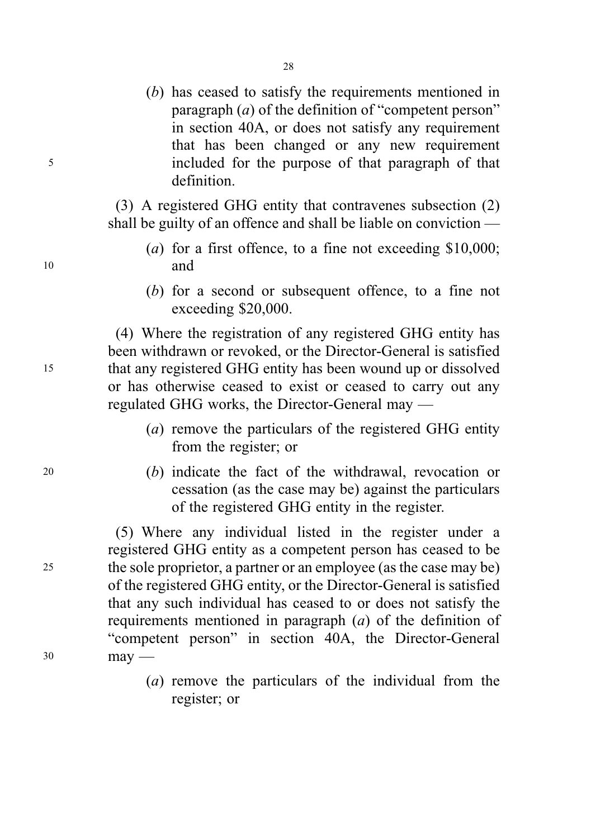(b) has ceased to satisfy the requirements mentioned in paragraph (a) of the definition of "competent person" in section 40A, or does not satisfy any requirement that has been changed or any new requirement <sup>5</sup> included for the purpose of that paragraph of that definition.

> (3) A registered GHG entity that contravenes subsection (2) shall be guilty of an offence and shall be liable on conviction —

- (a) for a first offence, to a fine not exceeding \$10,000; <sup>10</sup> and
	- (b) for a second or subsequent offence, to a fine not exceeding \$20,000.

(4) Where the registration of any registered GHG entity has been withdrawn or revoked, or the Director-General is satisfied <sup>15</sup> that any registered GHG entity has been wound up or dissolved or has otherwise ceased to exist or ceased to carry out any regulated GHG works, the Director-General may —

- (a) remove the particulars of the registered GHG entity from the register; or
- <sup>20</sup> (b) indicate the fact of the withdrawal, revocation or cessation (as the case may be) against the particulars of the registered GHG entity in the register.

(5) Where any individual listed in the register under a registered GHG entity as a competent person has ceased to be <sup>25</sup> the sole proprietor, a partner or an employee (as the case may be) of the registered GHG entity, or the Director-General is satisfied that any such individual has ceased to or does not satisfy the requirements mentioned in paragraph (a) of the definition of "competent person" in section 40A, the Director-General <sup>30</sup> may —

> (a) remove the particulars of the individual from the register; or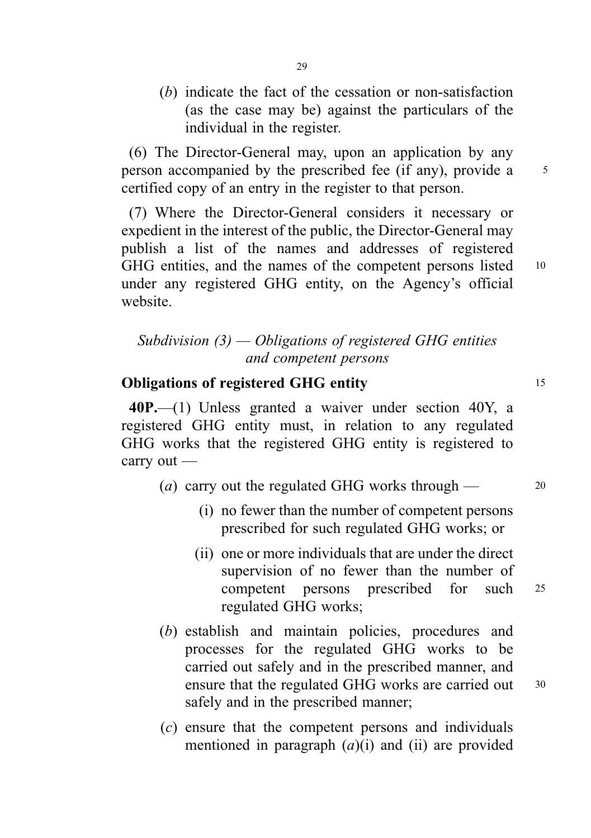(b) indicate the fact of the cessation or non-satisfaction (as the case may be) against the particulars of the individual in the register.

(6) The Director-General may, upon an application by any person accompanied by the prescribed fee (if any), provide a 5 certified copy of an entry in the register to that person.

(7) Where the Director-General considers it necessary or expedient in the interest of the public, the Director-General may publish a list of the names and addresses of registered GHG entities, and the names of the competent persons listed 10 under any registered GHG entity, on the Agency's official website.

# Subdivision  $(3)$  — Obligations of registered GHG entities and competent persons

# **Obligations of registered GHG entity** 15

40P.—(1) Unless granted a waiver under section 40Y, a registered GHG entity must, in relation to any regulated GHG works that the registered GHG entity is registered to carry out —

- (*a*) carry out the regulated GHG works through  $\frac{1}{20}$ 
	- (i) no fewer than the number of competent persons prescribed for such regulated GHG works; or
	- (ii) one or more individuals that are under the direct supervision of no fewer than the number of competent persons prescribed for such <sup>25</sup> regulated GHG works;
- (b) establish and maintain policies, procedures and processes for the regulated GHG works to be carried out safely and in the prescribed manner, and ensure that the regulated GHG works are carried out 30 safely and in the prescribed manner;
- (c) ensure that the competent persons and individuals mentioned in paragraph  $(a)(i)$  and  $(ii)$  are provided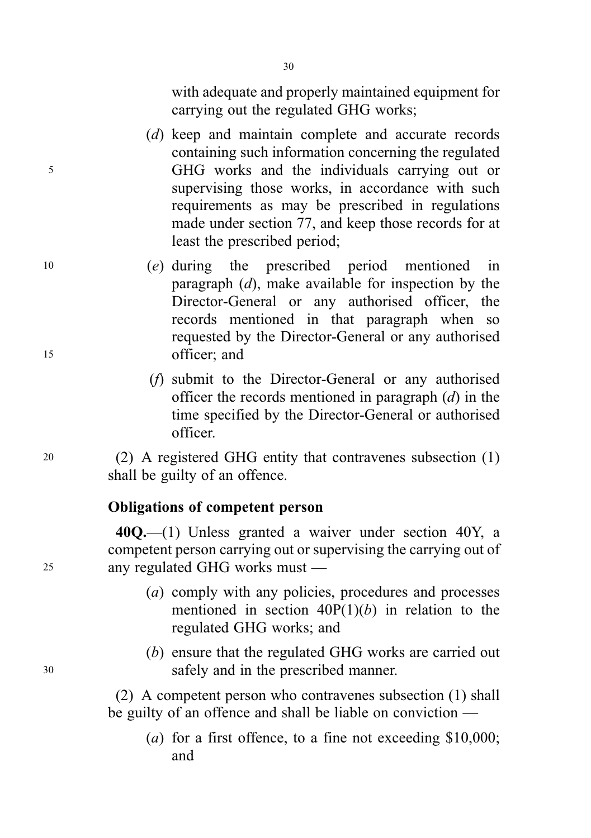with adequate and properly maintained equipment for carrying out the regulated GHG works;

- (d) keep and maintain complete and accurate records containing such information concerning the regulated <sup>5</sup> GHG works and the individuals carrying out or supervising those works, in accordance with such requirements as may be prescribed in regulations made under section 77, and keep those records for at least the prescribed period;
- <sup>10</sup> (e) during the prescribed period mentioned in paragraph  $(d)$ , make available for inspection by the Director-General or any authorised officer, the records mentioned in that paragraph when so requested by the Director-General or any authorised <sup>15</sup> officer; and
	- (f) submit to the Director-General or any authorised officer the records mentioned in paragraph  $(d)$  in the time specified by the Director-General or authorised officer.

<sup>20</sup> (2) A registered GHG entity that contravenes subsection (1) shall be guilty of an offence.

# Obligations of competent person

40Q.—(1) Unless granted a waiver under section 40Y, a competent person carrying out or supervising the carrying out of <sup>25</sup> any regulated GHG works must —

- (a) comply with any policies, procedures and processes mentioned in section  $40P(1)(b)$  in relation to the regulated GHG works; and
- (b) ensure that the regulated GHG works are carried out <sup>30</sup> safely and in the prescribed manner.

(2) A competent person who contravenes subsection (1) shall be guilty of an offence and shall be liable on conviction —

(a) for a first offence, to a fine not exceeding \$10,000; and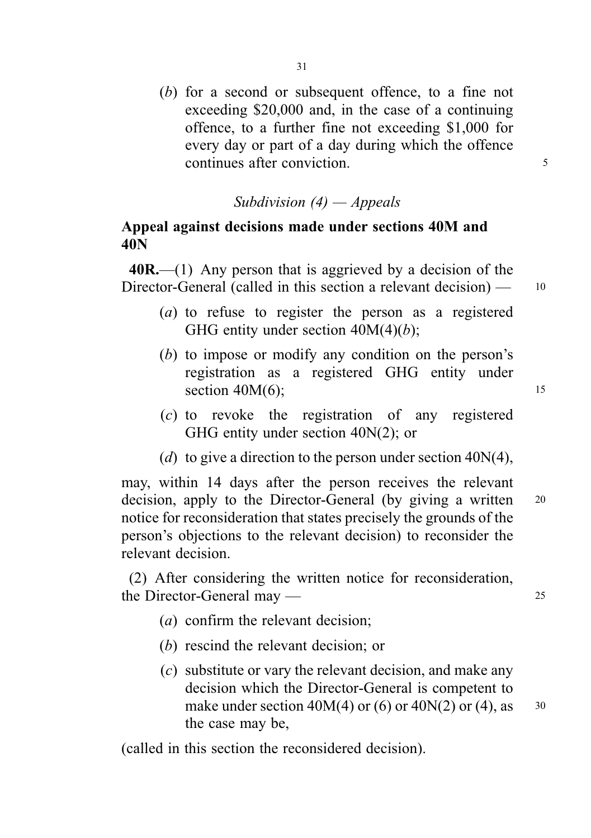(b) for a second or subsequent offence, to a fine not exceeding \$20,000 and, in the case of a continuing offence, to a further fine not exceeding \$1,000 for every day or part of a day during which the offence continues after conviction.

# Subdivision  $(4)$  – Appeals

# Appeal against decisions made under sections 40M and 40N

 $40R$ .—(1) Any person that is aggrieved by a decision of the Director-General (called in this section a relevant decision) — 10

- (a) to refuse to register the person as a registered GHG entity under section  $40M(4)(b)$ ;
- (b) to impose or modify any condition on the person's registration as a registered GHG entity under section  $40M(6)$ ; 15
- (c) to revoke the registration of any registered GHG entity under section 40N(2); or
- (d) to give a direction to the person under section  $40N(4)$ ,

may, within 14 days after the person receives the relevant decision, apply to the Director-General (by giving a written 20 notice for reconsideration that states precisely the grounds of the person's objections to the relevant decision) to reconsider the relevant decision.

(2) After considering the written notice for reconsideration, the Director-General may — 25

- (a) confirm the relevant decision;
- (b) rescind the relevant decision; or
- (c) substitute or vary the relevant decision, and make any decision which the Director-General is competent to make under section  $40M(4)$  or  $(6)$  or  $40N(2)$  or  $(4)$ , as  $30$ the case may be,

(called in this section the reconsidered decision).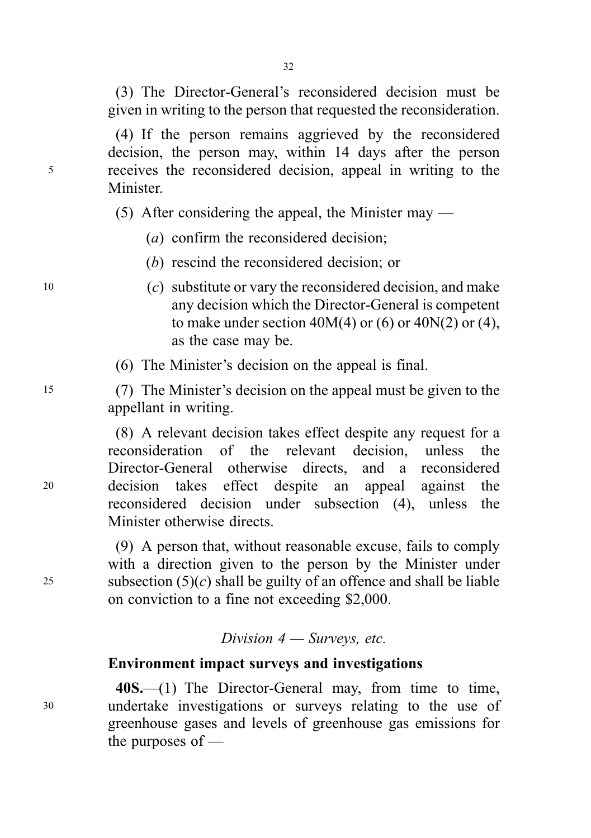(3) The Director-General's reconsidered decision must be given in writing to the person that requested the reconsideration.

(4) If the person remains aggrieved by the reconsidered decision, the person may, within 14 days after the person <sup>5</sup> receives the reconsidered decision, appeal in writing to the **Minister** 

(5) After considering the appeal, the Minister may —

(a) confirm the reconsidered decision;

(b) rescind the reconsidered decision; or

- 10  $\qquad$  (c) substitute or vary the reconsidered decision, and make any decision which the Director-General is competent to make under section  $40M(4)$  or  $(6)$  or  $40N(2)$  or  $(4)$ , as the case may be.
	- (6) The Minister's decision on the appeal is final.

<sup>15</sup> (7) The Minister's decision on the appeal must be given to the appellant in writing.

(8) A relevant decision takes effect despite any request for a reconsideration of the relevant decision, unless the Director-General otherwise directs, and a reconsidered <sup>20</sup> decision takes effect despite an appeal against the reconsidered decision under subsection (4), unless the Minister otherwise directs.

(9) A person that, without reasonable excuse, fails to comply with a direction given to the person by the Minister under 25 subsection  $(5)(c)$  shall be guilty of an offence and shall be liable on conviction to a fine not exceeding \$2,000.

Division  $4$  – Surveys, etc.

# Environment impact surveys and investigations

40S.—(1) The Director-General may, from time to time, <sup>30</sup> undertake investigations or surveys relating to the use of greenhouse gases and levels of greenhouse gas emissions for the purposes of —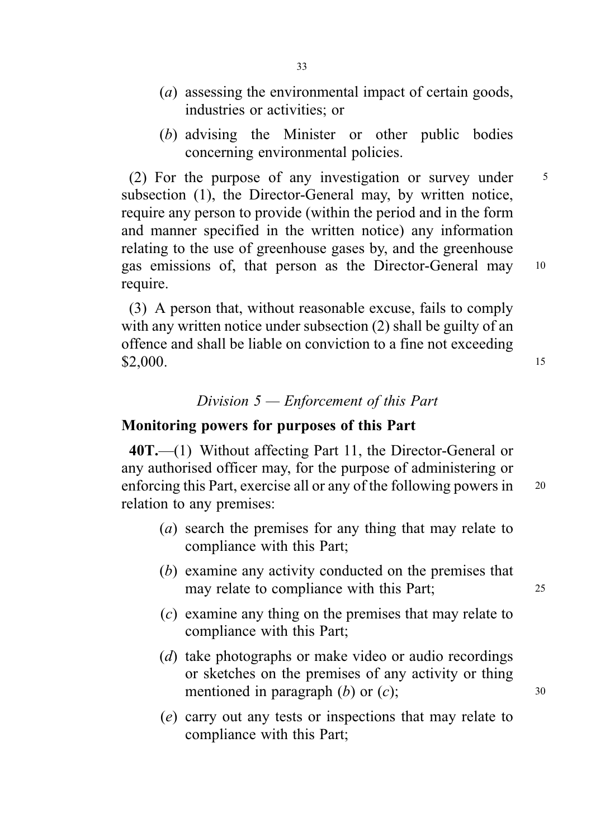- (a) assessing the environmental impact of certain goods, industries or activities; or
- (b) advising the Minister or other public bodies concerning environmental policies.

(2) For the purpose of any investigation or survey under  $\frac{5}{5}$ subsection (1), the Director-General may, by written notice, require any person to provide (within the period and in the form and manner specified in the written notice) any information relating to the use of greenhouse gases by, and the greenhouse gas emissions of, that person as the Director-General may <sup>10</sup> require.

(3) A person that, without reasonable excuse, fails to comply with any written notice under subsection (2) shall be guilty of an offence and shall be liable on conviction to a fine not exceeding  $$2,000.$  15

### Division 5 — Enforcement of this Part

# Monitoring powers for purposes of this Part

40T.—(1) Without affecting Part 11, the Director-General or any authorised officer may, for the purpose of administering or enforcing this Part, exercise all or any of the following powers in <sup>20</sup> relation to any premises:

- (a) search the premises for any thing that may relate to compliance with this Part;
- (b) examine any activity conducted on the premises that may relate to compliance with this Part; 25
- (c) examine any thing on the premises that may relate to compliance with this Part;
- (d) take photographs or make video or audio recordings or sketches on the premises of any activity or thing mentioned in paragraph  $(b)$  or  $(c)$ ;  $\hspace{1.5cm}$  30
- (e) carry out any tests or inspections that may relate to compliance with this Part;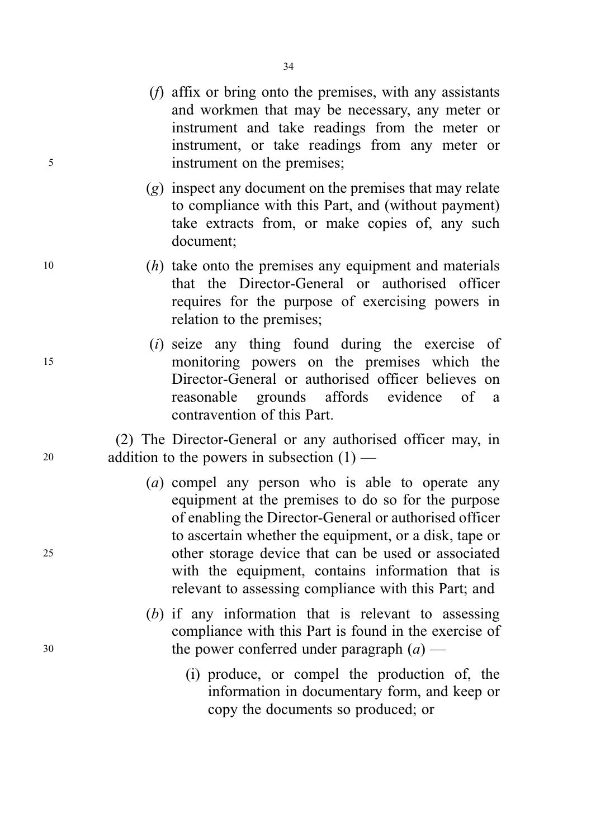- (f) affix or bring onto the premises, with any assistants and workmen that may be necessary, any meter or instrument and take readings from the meter or instrument, or take readings from any meter or <sup>5</sup> instrument on the premises;
	- (g) inspect any document on the premises that may relate to compliance with this Part, and (without payment) take extracts from, or make copies of, any such document;
- <sup>10</sup> (h) take onto the premises any equipment and materials that the Director-General or authorised officer requires for the purpose of exercising powers in relation to the premises;
- (i) seize any thing found during the exercise of <sup>15</sup> monitoring powers on the premises which the Director-General or authorised officer believes on reasonable grounds affords evidence of a contravention of this Part.

(2) The Director-General or any authorised officer may, in <sup>20</sup> addition to the powers in subsection (1) —

- (a) compel any person who is able to operate any equipment at the premises to do so for the purpose of enabling the Director-General or authorised officer to ascertain whether the equipment, or a disk, tape or <sup>25</sup> other storage device that can be used or associated with the equipment, contains information that is relevant to assessing compliance with this Part; and
- (b) if any information that is relevant to assessing compliance with this Part is found in the exercise of  $30$  the power conferred under paragraph  $(a)$  —
	- (i) produce, or compel the production of, the information in documentary form, and keep or copy the documents so produced; or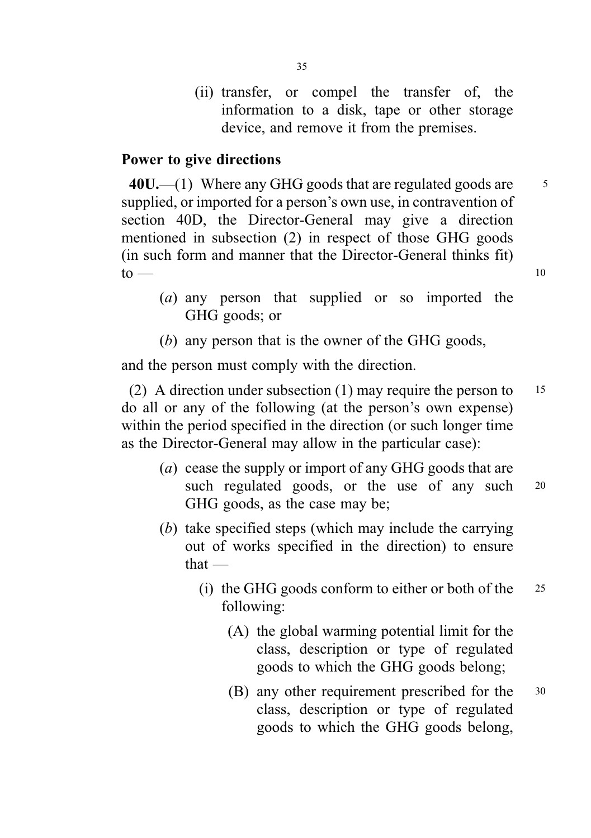(ii) transfer, or compel the transfer of, the information to a disk, tape or other storage device, and remove it from the premises.

### Power to give directions

 $40U$ ,  $-$ (1) Where any GHG goods that are regulated goods are  $5$ supplied, or imported for a person's own use, in contravention of section 40D, the Director-General may give a direction mentioned in subsection (2) in respect of those GHG goods (in such form and manner that the Director-General thinks fit)  $\text{to}$  — 10

- (a) any person that supplied or so imported the GHG goods; or
- (b) any person that is the owner of the GHG goods,

and the person must comply with the direction.

(2) A direction under subsection (1) may require the person to  $15$ do all or any of the following (at the person's own expense) within the period specified in the direction (or such longer time as the Director-General may allow in the particular case):

- (a) cease the supply or import of any GHG goods that are such regulated goods, or the use of any such 20 GHG goods, as the case may be;
- (b) take specified steps (which may include the carrying out of works specified in the direction) to ensure that —
	- (i) the GHG goods conform to either or both of the  $25$ following:
		- (A) the global warming potential limit for the class, description or type of regulated goods to which the GHG goods belong;
		- (B) any other requirement prescribed for the <sup>30</sup> class, description or type of regulated goods to which the GHG goods belong,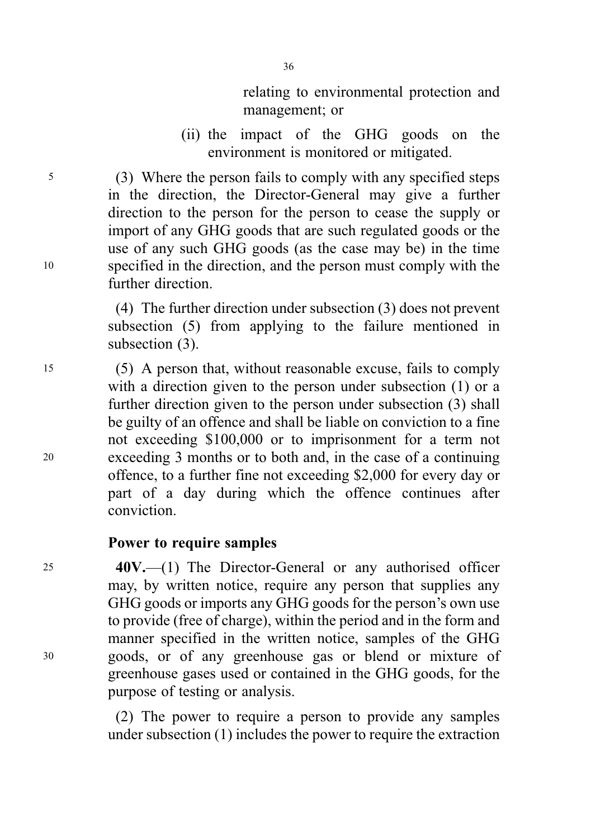relating to environmental protection and management; or

(ii) the impact of the GHG goods on the environment is monitored or mitigated.

<sup>5</sup> (3) Where the person fails to comply with any specified steps in the direction, the Director-General may give a further direction to the person for the person to cease the supply or import of any GHG goods that are such regulated goods or the use of any such GHG goods (as the case may be) in the time <sup>10</sup> specified in the direction, and the person must comply with the further direction.

> (4) The further direction under subsection (3) does not prevent subsection (5) from applying to the failure mentioned in subsection  $(3)$ .

<sup>15</sup> (5) A person that, without reasonable excuse, fails to comply with a direction given to the person under subsection (1) or a further direction given to the person under subsection (3) shall be guilty of an offence and shall be liable on conviction to a fine not exceeding \$100,000 or to imprisonment for a term not <sup>20</sup> exceeding 3 months or to both and, in the case of a continuing offence, to a further fine not exceeding \$2,000 for every day or part of a day during which the offence continues after conviction.

# Power to require samples

<sup>25</sup> 40V.—(1) The Director-General or any authorised officer may, by written notice, require any person that supplies any GHG goods or imports any GHG goods for the person's own use to provide (free of charge), within the period and in the form and manner specified in the written notice, samples of the GHG <sup>30</sup> goods, or of any greenhouse gas or blend or mixture of greenhouse gases used or contained in the GHG goods, for the purpose of testing or analysis.

> (2) The power to require a person to provide any samples under subsection (1) includes the power to require the extraction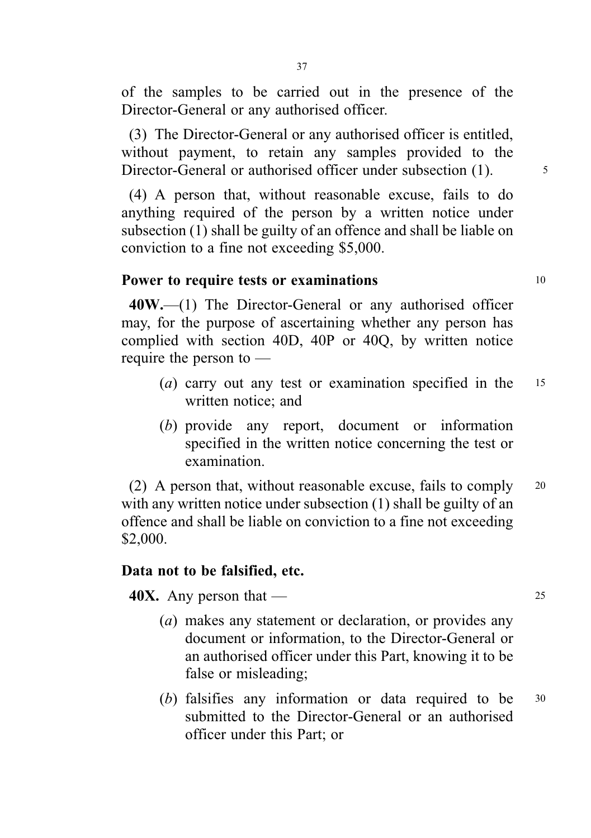of the samples to be carried out in the presence of the Director-General or any authorised officer.

(3) The Director-General or any authorised officer is entitled, without payment, to retain any samples provided to the Director-General or authorised officer under subsection (1). 5

(4) A person that, without reasonable excuse, fails to do anything required of the person by a written notice under subsection (1) shall be guilty of an offence and shall be liable on conviction to a fine not exceeding \$5,000.

# Power to require tests or examinations 10

40W.—(1) The Director-General or any authorised officer may, for the purpose of ascertaining whether any person has complied with section 40D, 40P or 40Q, by written notice require the person to —

- (a) carry out any test or examination specified in the  $15$ written notice; and
- (b) provide any report, document or information specified in the written notice concerning the test or examination.

(2) A person that, without reasonable excuse, fails to comply <sup>20</sup> with any written notice under subsection (1) shall be guilty of an offence and shall be liable on conviction to a fine not exceeding \$2,000.

# Data not to be falsified, etc.

**40X.** Any person that —  $25$ 

- (a) makes any statement or declaration, or provides any document or information, to the Director-General or an authorised officer under this Part, knowing it to be false or misleading;
- (b) falsifies any information or data required to be  $30$ submitted to the Director-General or an authorised officer under this Part; or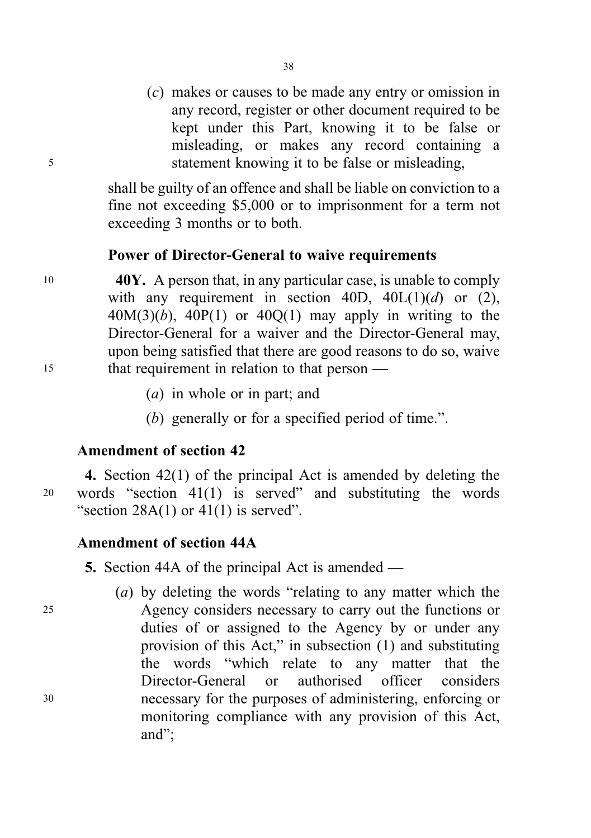(c) makes or causes to be made any entry or omission in any record, register or other document required to be kept under this Part, knowing it to be false or misleading, or makes any record containing a <sup>5</sup> statement knowing it to be false or misleading,

> shall be guilty of an offence and shall be liable on conviction to a fine not exceeding \$5,000 or to imprisonment for a term not exceeding 3 months or to both.

### Power of Director-General to waive requirements

 $10$  40Y. A person that, in any particular case, is unable to comply with any requirement in section 40D,  $40L(1)(d)$  or (2),  $40M(3)(b)$ ,  $40P(1)$  or  $40Q(1)$  may apply in writing to the Director-General for a waiver and the Director-General may, upon being satisfied that there are good reasons to do so, waive <sup>15</sup> that requirement in relation to that person —

- (a) in whole or in part; and
- (b) generally or for a specified period of time.".

### Amendment of section 42

4. Section 42(1) of the principal Act is amended by deleting the <sup>20</sup> words "section 41(1) is served" and substituting the words "section  $28A(1)$  or  $41(1)$  is served".

# Amendment of section 44A

(a) by deleting the words "relating to any matter which the <sup>25</sup> Agency considers necessary to carry out the functions or duties of or assigned to the Agency by or under any provision of this Act," in subsection (1) and substituting the words "which relate to any matter that the Director-General or authorised officer considers <sup>30</sup> necessary for the purposes of administering, enforcing or monitoring compliance with any provision of this Act, and";

<sup>5.</sup> Section 44A of the principal Act is amended —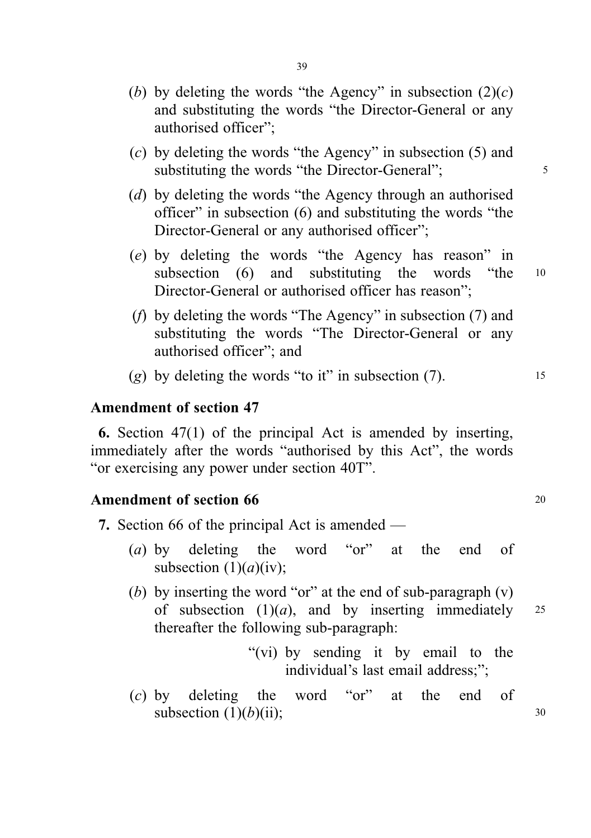- (b) by deleting the words "the Agency" in subsection  $(2)(c)$ and substituting the words "the Director-General or any authorised officer";
- (c) by deleting the words "the Agency" in subsection (5) and substituting the words "the Director-General";  $\frac{5}{5}$
- (d) by deleting the words "the Agency through an authorised officer" in subsection (6) and substituting the words "the Director-General or any authorised officer";
- (e) by deleting the words "the Agency has reason" in subsection (6) and substituting the words "the 10 Director-General or authorised officer has reason";
- (f) by deleting the words "The Agency" in subsection (7) and substituting the words "The Director-General or any authorised officer"; and
- (g) by deleting the words "to it" in subsection  $(7)$ .

# Amendment of section 47

6. Section 47(1) of the principal Act is amended by inserting, immediately after the words "authorised by this Act", the words "or exercising any power under section 40T".

#### Amendment of section 66 20 20

- 7. Section 66 of the principal Act is amended
	- (a) by deleting the word "or" at the end of subsection  $(1)(a)(iv)$ ;
	- (b) by inserting the word "or" at the end of sub-paragraph  $(v)$ of subsection  $(1)(a)$ , and by inserting immediately 25 thereafter the following sub-paragraph:
		- "(vi) by sending it by email to the individual's last email address;";
	- (c) by deleting the word "or" at the end of subsection  $(1)(b)(ii)$ ; 30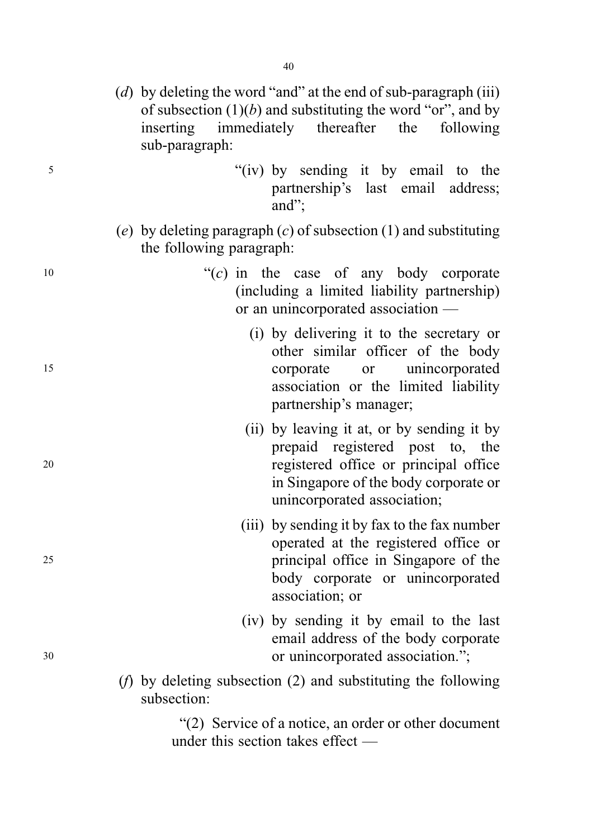- (d) by deleting the word "and" at the end of sub-paragraph (iii) of subsection  $(1)(b)$  and substituting the word "or", and by inserting immediately thereafter the following sub-paragraph:
- <sup>5</sup> "(iv) by sending it by email to the partnership's last email address; and";
	- (e) by deleting paragraph  $(c)$  of subsection (1) and substituting the following paragraph:
- $(10$  " $(0)$  in the case of any body corporate (including a limited liability partnership) or an unincorporated association —
- (i) by delivering it to the secretary or other similar officer of the body <sup>15</sup> corporate or unincorporated association or the limited liability partnership's manager;
- (ii) by leaving it at, or by sending it by prepaid registered post to, the <sup>20</sup> registered office or principal office in Singapore of the body corporate or unincorporated association;
- (iii) by sending it by fax to the fax number operated at the registered office or <sup>25</sup> principal office in Singapore of the body corporate or unincorporated association; or
- (iv) by sending it by email to the last email address of the body corporate <sup>30</sup> or unincorporated association.";
	- (f) by deleting subsection (2) and substituting the following subsection:

"(2) Service of a notice, an order or other document under this section takes effect —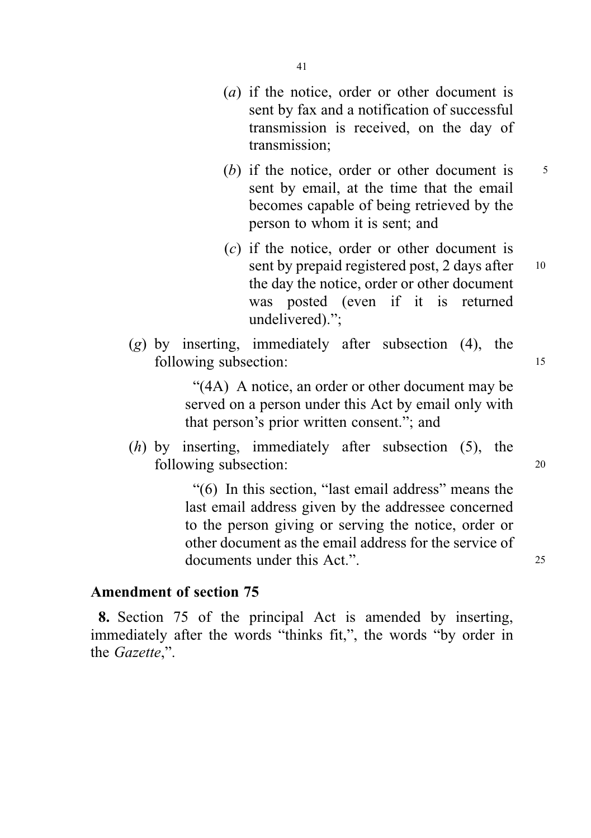- 41
- (a) if the notice, order or other document is sent by fax and a notification of successful transmission is received, on the day of transmission;
- (b) if the notice, order or other document is  $5<sup>5</sup>$ sent by email, at the time that the email becomes capable of being retrieved by the person to whom it is sent; and
- (c) if the notice, order or other document is sent by prepaid registered post,  $2$  days after  $10$ the day the notice, order or other document was posted (even if it is returned undelivered).";
- $(g)$  by inserting, immediately after subsection  $(4)$ , the following subsection: 15

"(4A) A notice, an order or other document may be served on a person under this Act by email only with that person's prior written consent."; and

(h) by inserting, immediately after subsection (5), the following subsection: 20

> "(6) In this section, "last email address" means the last email address given by the addressee concerned to the person giving or serving the notice, order or other document as the email address for the service of documents under this Act.".

# Amendment of section 75

8. Section 75 of the principal Act is amended by inserting, immediately after the words "thinks fit,", the words "by order in the Gazette,".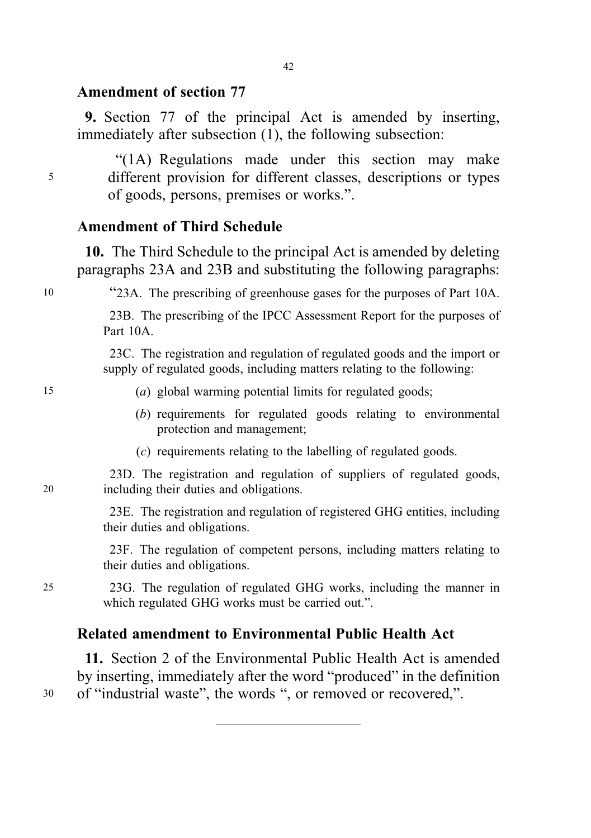# Amendment of section 77

9. Section 77 of the principal Act is amended by inserting, immediately after subsection (1), the following subsection:

"(1A) Regulations made under this section may make <sup>5</sup> different provision for different classes, descriptions or types of goods, persons, premises or works.".

# Amendment of Third Schedule

10. The Third Schedule to the principal Act is amended by deleting paragraphs 23A and 23B and substituting the following paragraphs:

<sup>10</sup> "23A. The prescribing of greenhouse gases for the purposes of Part 10A.

23B. The prescribing of the IPCC Assessment Report for the purposes of Part 10A.

23C. The registration and regulation of regulated goods and the import or supply of regulated goods, including matters relating to the following:

#### 15 (a) global warming potential limits for regulated goods;

- (b) requirements for regulated goods relating to environmental protection and management;
- (c) requirements relating to the labelling of regulated goods.

23D. The registration and regulation of suppliers of regulated goods, 20 including their duties and obligations.

> 23E. The registration and regulation of registered GHG entities, including their duties and obligations.

> 23F. The regulation of competent persons, including matters relating to their duties and obligations.

25 23G. The regulation of regulated GHG works, including the manner in which regulated GHG works must be carried out.".

# Related amendment to Environmental Public Health Act

11. Section 2 of the Environmental Public Health Act is amended by inserting, immediately after the word "produced" in the definition <sup>30</sup> of "industrial waste", the words ", or removed or recovered,".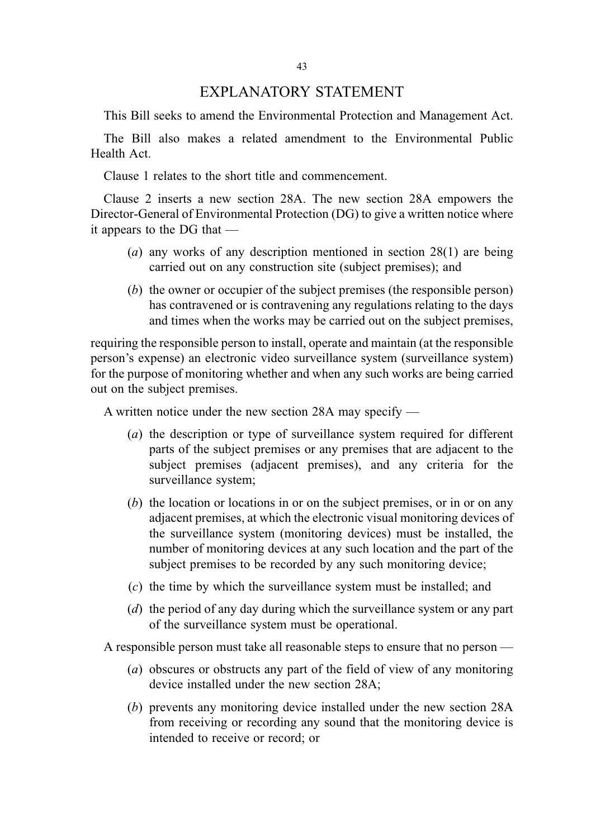## EXPLANATORY STATEMENT

This Bill seeks to amend the Environmental Protection and Management Act.

The Bill also makes a related amendment to the Environmental Public Health Act.

Clause 1 relates to the short title and commencement.

Clause 2 inserts a new section 28A. The new section 28A empowers the Director-General of Environmental Protection (DG) to give a written notice where it appears to the DG that —

- (a) any works of any description mentioned in section 28(1) are being carried out on any construction site (subject premises); and
- (b) the owner or occupier of the subject premises (the responsible person) has contravened or is contravening any regulations relating to the days and times when the works may be carried out on the subject premises,

requiring the responsible person to install, operate and maintain (at the responsible person's expense) an electronic video surveillance system (surveillance system) for the purpose of monitoring whether and when any such works are being carried out on the subject premises.

A written notice under the new section 28A may specify —

- (a) the description or type of surveillance system required for different parts of the subject premises or any premises that are adjacent to the subject premises (adjacent premises), and any criteria for the surveillance system;
- (b) the location or locations in or on the subject premises, or in or on any adjacent premises, at which the electronic visual monitoring devices of the surveillance system (monitoring devices) must be installed, the number of monitoring devices at any such location and the part of the subject premises to be recorded by any such monitoring device;
- (c) the time by which the surveillance system must be installed; and
- (d) the period of any day during which the surveillance system or any part of the surveillance system must be operational.

A responsible person must take all reasonable steps to ensure that no person —

- (a) obscures or obstructs any part of the field of view of any monitoring device installed under the new section 28A;
- (b) prevents any monitoring device installed under the new section 28A from receiving or recording any sound that the monitoring device is intended to receive or record; or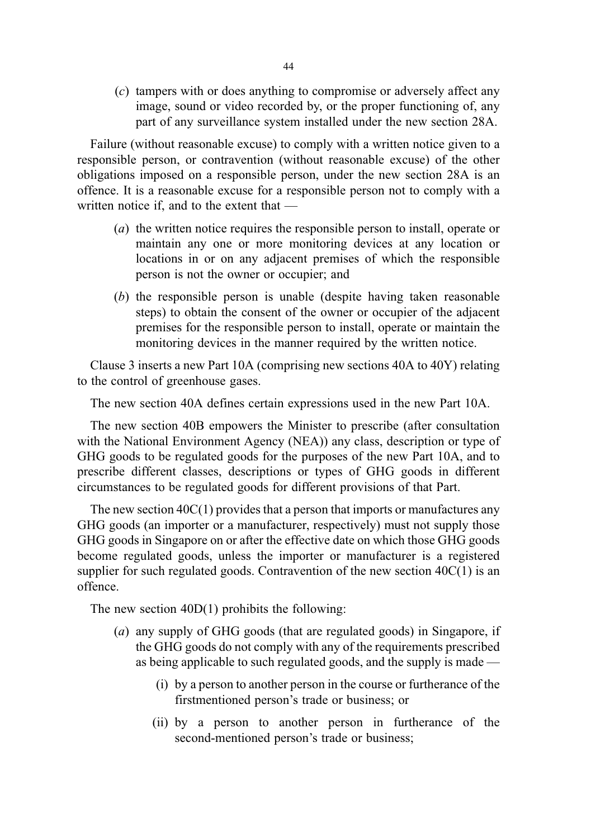(c) tampers with or does anything to compromise or adversely affect any image, sound or video recorded by, or the proper functioning of, any part of any surveillance system installed under the new section 28A.

Failure (without reasonable excuse) to comply with a written notice given to a responsible person, or contravention (without reasonable excuse) of the other obligations imposed on a responsible person, under the new section 28A is an offence. It is a reasonable excuse for a responsible person not to comply with a written notice if, and to the extent that —

- (a) the written notice requires the responsible person to install, operate or maintain any one or more monitoring devices at any location or locations in or on any adjacent premises of which the responsible person is not the owner or occupier; and
- (b) the responsible person is unable (despite having taken reasonable steps) to obtain the consent of the owner or occupier of the adjacent premises for the responsible person to install, operate or maintain the monitoring devices in the manner required by the written notice.

Clause 3 inserts a new Part 10A (comprising new sections 40A to 40Y) relating to the control of greenhouse gases.

The new section 40A defines certain expressions used in the new Part 10A.

The new section 40B empowers the Minister to prescribe (after consultation with the National Environment Agency (NEA)) any class, description or type of GHG goods to be regulated goods for the purposes of the new Part 10A, and to prescribe different classes, descriptions or types of GHG goods in different circumstances to be regulated goods for different provisions of that Part.

The new section 40C(1) provides that a person that imports or manufactures any GHG goods (an importer or a manufacturer, respectively) must not supply those GHG goods in Singapore on or after the effective date on which those GHG goods become regulated goods, unless the importer or manufacturer is a registered supplier for such regulated goods. Contravention of the new section  $40C(1)$  is an offence.

The new section 40D(1) prohibits the following:

- (a) any supply of GHG goods (that are regulated goods) in Singapore, if the GHG goods do not comply with any of the requirements prescribed as being applicable to such regulated goods, and the supply is made —
	- (i) by a person to another person in the course or furtherance of the firstmentioned person's trade or business; or
	- (ii) by a person to another person in furtherance of the second-mentioned person's trade or business;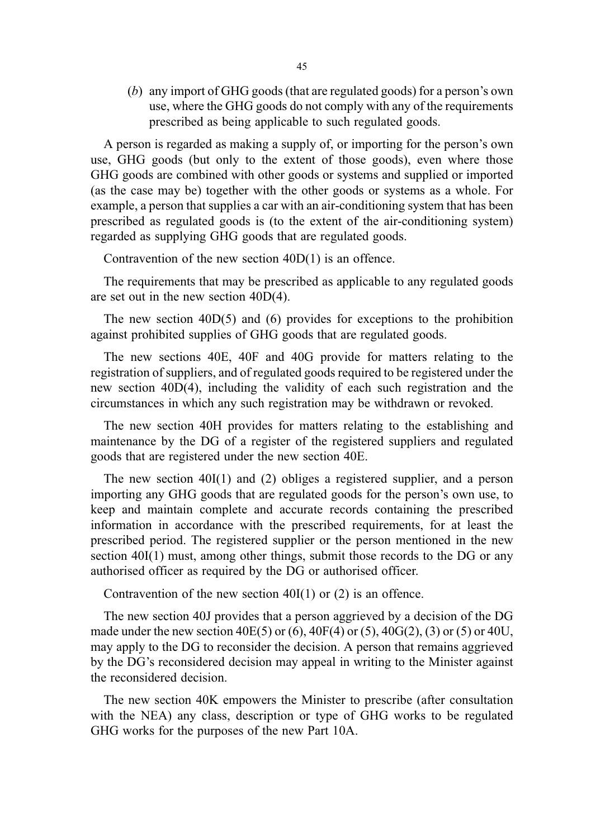(b) any import of GHG goods (that are regulated goods) for a person's own use, where the GHG goods do not comply with any of the requirements prescribed as being applicable to such regulated goods.

A person is regarded as making a supply of, or importing for the person's own use, GHG goods (but only to the extent of those goods), even where those GHG goods are combined with other goods or systems and supplied or imported (as the case may be) together with the other goods or systems as a whole. For example, a person that supplies a car with an air-conditioning system that has been prescribed as regulated goods is (to the extent of the air-conditioning system) regarded as supplying GHG goods that are regulated goods.

Contravention of the new section 40D(1) is an offence.

The requirements that may be prescribed as applicable to any regulated goods are set out in the new section 40D(4).

The new section 40D(5) and (6) provides for exceptions to the prohibition against prohibited supplies of GHG goods that are regulated goods.

The new sections 40E, 40F and 40G provide for matters relating to the registration of suppliers, and of regulated goods required to be registered under the new section 40D(4), including the validity of each such registration and the circumstances in which any such registration may be withdrawn or revoked.

The new section 40H provides for matters relating to the establishing and maintenance by the DG of a register of the registered suppliers and regulated goods that are registered under the new section 40E.

The new section 40I(1) and (2) obliges a registered supplier, and a person importing any GHG goods that are regulated goods for the person's own use, to keep and maintain complete and accurate records containing the prescribed information in accordance with the prescribed requirements, for at least the prescribed period. The registered supplier or the person mentioned in the new section 40I(1) must, among other things, submit those records to the DG or any authorised officer as required by the DG or authorised officer.

Contravention of the new section 40I(1) or (2) is an offence.

The new section 40J provides that a person aggrieved by a decision of the DG made under the new section  $40E(5)$  or (6),  $40F(4)$  or (5),  $40G(2)$ , (3) or (5) or  $40U$ , may apply to the DG to reconsider the decision. A person that remains aggrieved by the DG's reconsidered decision may appeal in writing to the Minister against the reconsidered decision.

The new section 40K empowers the Minister to prescribe (after consultation with the NEA) any class, description or type of GHG works to be regulated GHG works for the purposes of the new Part 10A.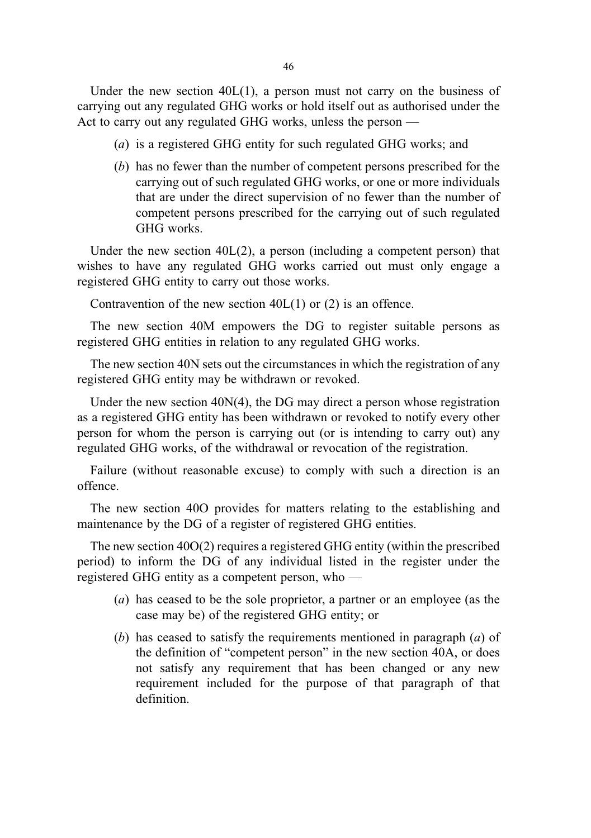Under the new section  $40L(1)$ , a person must not carry on the business of carrying out any regulated GHG works or hold itself out as authorised under the Act to carry out any regulated GHG works, unless the person —

- (a) is a registered GHG entity for such regulated GHG works; and
- (b) has no fewer than the number of competent persons prescribed for the carrying out of such regulated GHG works, or one or more individuals that are under the direct supervision of no fewer than the number of competent persons prescribed for the carrying out of such regulated GHG works.

Under the new section 40L(2), a person (including a competent person) that wishes to have any regulated GHG works carried out must only engage a registered GHG entity to carry out those works.

Contravention of the new section  $40L(1)$  or  $(2)$  is an offence.

The new section 40M empowers the DG to register suitable persons as registered GHG entities in relation to any regulated GHG works.

The new section 40N sets out the circumstances in which the registration of any registered GHG entity may be withdrawn or revoked.

Under the new section 40N(4), the DG may direct a person whose registration as a registered GHG entity has been withdrawn or revoked to notify every other person for whom the person is carrying out (or is intending to carry out) any regulated GHG works, of the withdrawal or revocation of the registration.

Failure (without reasonable excuse) to comply with such a direction is an offence.

The new section 40O provides for matters relating to the establishing and maintenance by the DG of a register of registered GHG entities.

The new section 40O(2) requires a registered GHG entity (within the prescribed period) to inform the DG of any individual listed in the register under the registered GHG entity as a competent person, who —

- (a) has ceased to be the sole proprietor, a partner or an employee (as the case may be) of the registered GHG entity; or
- (b) has ceased to satisfy the requirements mentioned in paragraph  $(a)$  of the definition of "competent person" in the new section 40A, or does not satisfy any requirement that has been changed or any new requirement included for the purpose of that paragraph of that definition.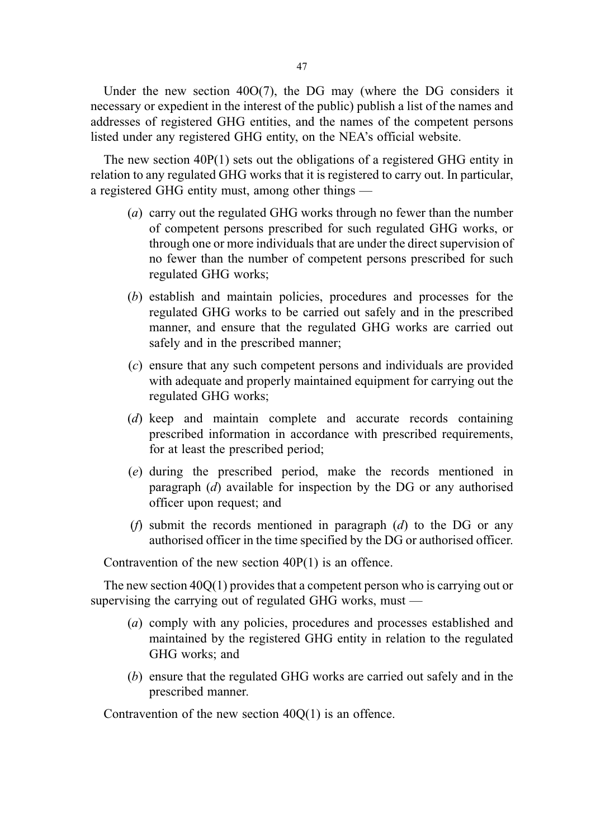Under the new section 40O(7), the DG may (where the DG considers it necessary or expedient in the interest of the public) publish a list of the names and addresses of registered GHG entities, and the names of the competent persons listed under any registered GHG entity, on the NEA's official website.

The new section  $40P(1)$  sets out the obligations of a registered GHG entity in relation to any regulated GHG works that it is registered to carry out. In particular, a registered GHG entity must, among other things —

- (a) carry out the regulated GHG works through no fewer than the number of competent persons prescribed for such regulated GHG works, or through one or more individuals that are under the direct supervision of no fewer than the number of competent persons prescribed for such regulated GHG works;
- (b) establish and maintain policies, procedures and processes for the regulated GHG works to be carried out safely and in the prescribed manner, and ensure that the regulated GHG works are carried out safely and in the prescribed manner;
- (c) ensure that any such competent persons and individuals are provided with adequate and properly maintained equipment for carrying out the regulated GHG works;
- (d) keep and maintain complete and accurate records containing prescribed information in accordance with prescribed requirements, for at least the prescribed period;
- (e) during the prescribed period, make the records mentioned in paragraph (d) available for inspection by the DG or any authorised officer upon request; and
- (*f*) submit the records mentioned in paragraph (*d*) to the DG or any authorised officer in the time specified by the DG or authorised officer.

Contravention of the new section 40P(1) is an offence.

The new section 40Q(1) provides that a competent person who is carrying out or supervising the carrying out of regulated GHG works, must —

- (a) comply with any policies, procedures and processes established and maintained by the registered GHG entity in relation to the regulated GHG works; and
- (b) ensure that the regulated GHG works are carried out safely and in the prescribed manner.

Contravention of the new section 40Q(1) is an offence.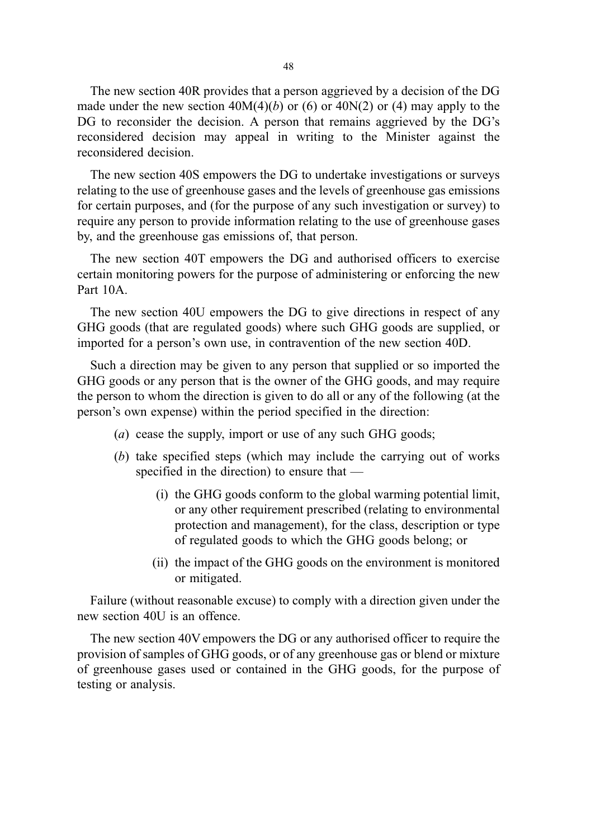The new section 40R provides that a person aggrieved by a decision of the DG made under the new section  $40M(4)(b)$  or (6) or  $40N(2)$  or (4) may apply to the DG to reconsider the decision. A person that remains aggrieved by the DG's reconsidered decision may appeal in writing to the Minister against the reconsidered decision.

The new section 40S empowers the DG to undertake investigations or surveys relating to the use of greenhouse gases and the levels of greenhouse gas emissions for certain purposes, and (for the purpose of any such investigation or survey) to require any person to provide information relating to the use of greenhouse gases by, and the greenhouse gas emissions of, that person.

The new section 40T empowers the DG and authorised officers to exercise certain monitoring powers for the purpose of administering or enforcing the new Part 10A.

The new section 40U empowers the DG to give directions in respect of any GHG goods (that are regulated goods) where such GHG goods are supplied, or imported for a person's own use, in contravention of the new section 40D.

Such a direction may be given to any person that supplied or so imported the GHG goods or any person that is the owner of the GHG goods, and may require the person to whom the direction is given to do all or any of the following (at the person's own expense) within the period specified in the direction:

- (a) cease the supply, import or use of any such GHG goods;
- (b) take specified steps (which may include the carrying out of works specified in the direction) to ensure that —
	- (i) the GHG goods conform to the global warming potential limit, or any other requirement prescribed (relating to environmental protection and management), for the class, description or type of regulated goods to which the GHG goods belong; or
	- (ii) the impact of the GHG goods on the environment is monitored or mitigated.

Failure (without reasonable excuse) to comply with a direction given under the new section 40U is an offence.

The new section 40V empowers the DG or any authorised officer to require the provision of samples of GHG goods, or of any greenhouse gas or blend or mixture of greenhouse gases used or contained in the GHG goods, for the purpose of testing or analysis.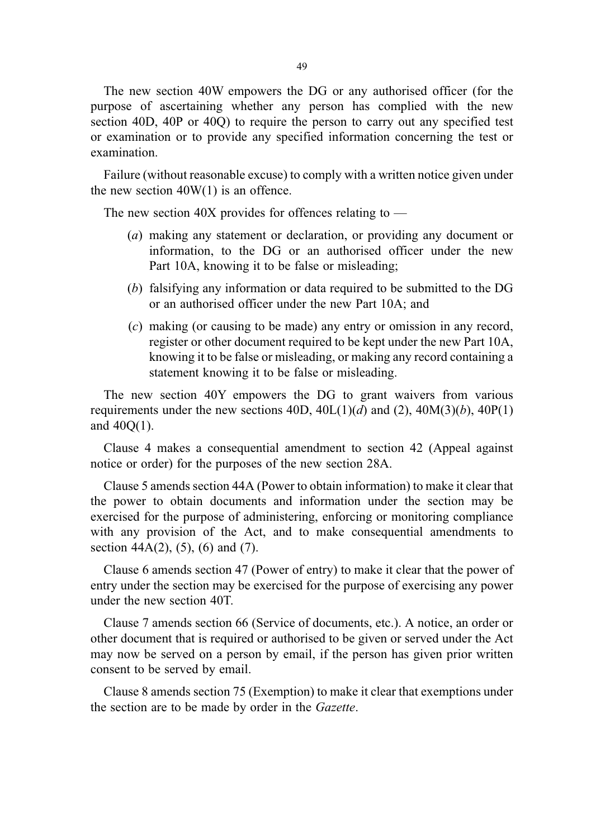The new section 40W empowers the DG or any authorised officer (for the purpose of ascertaining whether any person has complied with the new section 40D, 40P or 40Q) to require the person to carry out any specified test or examination or to provide any specified information concerning the test or examination.

Failure (without reasonable excuse) to comply with a written notice given under the new section  $40W(1)$  is an offence.

The new section 40X provides for offences relating to  $-$ 

- (a) making any statement or declaration, or providing any document or information, to the DG or an authorised officer under the new Part 10A, knowing it to be false or misleading;
- (b) falsifying any information or data required to be submitted to the DG or an authorised officer under the new Part 10A; and
- (c) making (or causing to be made) any entry or omission in any record, register or other document required to be kept under the new Part 10A, knowing it to be false or misleading, or making any record containing a statement knowing it to be false or misleading.

The new section 40Y empowers the DG to grant waivers from various requirements under the new sections  $40D$ ,  $40L(1)(d)$  and  $(2)$ ,  $40M(3)(b)$ ,  $40P(1)$ and 40Q(1).

Clause 4 makes a consequential amendment to section 42 (Appeal against notice or order) for the purposes of the new section 28A.

Clause 5 amends section 44A (Power to obtain information) to make it clear that the power to obtain documents and information under the section may be exercised for the purpose of administering, enforcing or monitoring compliance with any provision of the Act, and to make consequential amendments to section  $44A(2)$ , (5), (6) and (7).

Clause 6 amends section 47 (Power of entry) to make it clear that the power of entry under the section may be exercised for the purpose of exercising any power under the new section 40T.

Clause 7 amends section 66 (Service of documents, etc.). A notice, an order or other document that is required or authorised to be given or served under the Act may now be served on a person by email, if the person has given prior written consent to be served by email.

Clause 8 amends section 75 (Exemption) to make it clear that exemptions under the section are to be made by order in the Gazette.